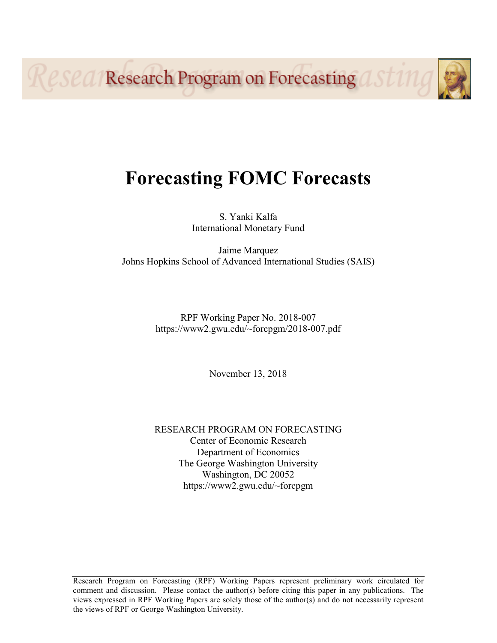Resea Research Program on Forecasting ast 11

# **Forecasting FOMC Forecasts**

S. Yanki Kalfa International Monetary Fund

Jaime Marquez Johns Hopkins School of Advanced International Studies (SAIS)

> RPF Working Paper No. 2018-007 https://www2.gwu.edu/~forcpgm/2018-007.pdf

> > November 13, 2018

RESEARCH PROGRAM ON FORECASTING Center of Economic Research Department of Economics The George Washington University Washington, DC 20052 https://www2.gwu.edu/~forcpgm

Research Program on Forecasting (RPF) Working Papers represent preliminary work circulated for comment and discussion. Please contact the author(s) before citing this paper in any publications. The views expressed in RPF Working Papers are solely those of the author(s) and do not necessarily represent the views of RPF or George Washington University.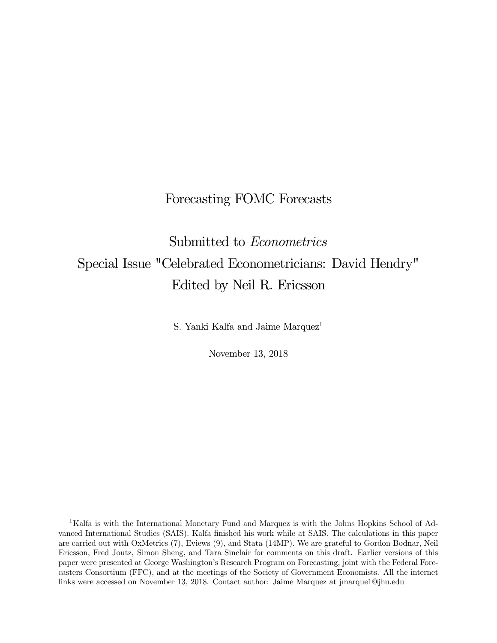# Forecasting FOMC Forecasts

# Submitted to Econometrics Special Issue "Celebrated Econometricians: David Hendry" Edited by Neil R. Ericsson

S. Yanki Kalfa and Jaime Marquez<sup>1</sup>

November 13, 2018

<sup>1</sup>Kalfa is with the International Monetary Fund and Marquez is with the Johns Hopkins School of Advanced International Studies (SAIS). Kalfa finished his work while at SAIS. The calculations in this paper are carried out with OxMetrics (7), Eviews (9), and Stata (14MP). We are grateful to Gordon Bodnar, Neil Ericsson, Fred Joutz, Simon Sheng, and Tara Sinclair for comments on this draft. Earlier versions of this paper were presented at George Washington's Research Program on Forecasting, joint with the Federal Forecasters Consortium (FFC), and at the meetings of the Society of Government Economists. All the internet links were accessed on November 13, 2018. Contact author: Jaime Marquez at jmarque1@jhu.edu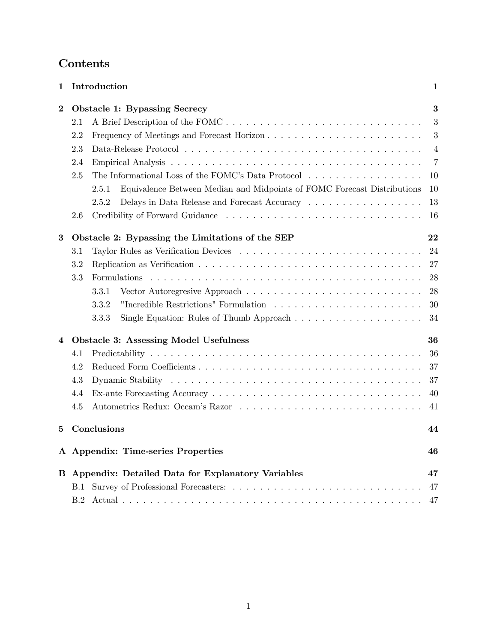# Contents

| 1        | Introduction                                                                     | 1              |
|----------|----------------------------------------------------------------------------------|----------------|
| $\bf{2}$ | <b>Obstacle 1: Bypassing Secrecy</b>                                             | 3              |
|          | A Brief Description of the FOMC<br>$2.1\,$                                       | 3              |
|          | 2.2                                                                              | 3              |
|          | 2.3                                                                              | $\overline{4}$ |
|          | 2.4                                                                              | $\overline{7}$ |
|          | The Informational Loss of the FOMC's Data Protocol<br>2.5                        | 10             |
|          | Equivalence Between Median and Midpoints of FOMC Forecast Distributions<br>2.5.1 | <b>10</b>      |
|          | 2.5.2                                                                            | 13             |
|          | $2.6\,$                                                                          | 16             |
| 3        | Obstacle 2: Bypassing the Limitations of the SEP                                 | 22             |
|          | $3.1\,$                                                                          | 24             |
|          | 3.2                                                                              | 27             |
|          | 3.3<br>Formulations                                                              | 28             |
|          | 3.3.1                                                                            | 28             |
|          | 3.3.2                                                                            | 30             |
|          | 3.3.3                                                                            | 34             |
| 4        | <b>Obstacle 3: Assessing Model Usefulness</b>                                    | 36             |
|          | 4.1                                                                              | 36             |
|          | 4.2                                                                              | 37             |
|          | 4.3                                                                              | 37             |
|          | 4.4                                                                              | 40             |
|          | 4.5                                                                              | 41             |
| 5        | Conclusions                                                                      | 44             |
|          | A Appendix: Time-series Properties                                               | 46             |
| В        | Appendix: Detailed Data for Explanatory Variables                                | 47             |
|          | B.1                                                                              | 47             |
|          | B.2                                                                              | 47             |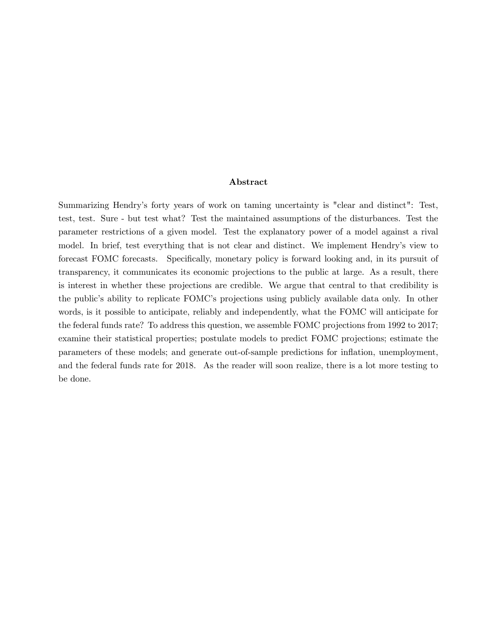#### Abstract

Summarizing Hendry's forty years of work on taming uncertainty is "clear and distinct": Test, test, test. Sure - but test what? Test the maintained assumptions of the disturbances. Test the parameter restrictions of a given model. Test the explanatory power of a model against a rival model. In brief, test everything that is not clear and distinct. We implement Hendry's view to forecast FOMC forecasts. Specifically, monetary policy is forward looking and, in its pursuit of transparency, it communicates its economic projections to the public at large. As a result, there is interest in whether these projections are credible. We argue that central to that credibility is the public's ability to replicate FOMC's projections using publicly available data only. In other words, is it possible to anticipate, reliably and independently, what the FOMC will anticipate for the federal funds rate? To address this question, we assemble FOMC projections from 1992 to 2017; examine their statistical properties; postulate models to predict FOMC projections; estimate the parameters of these models; and generate out-of-sample predictions for inflation, unemployment, and the federal funds rate for 2018. As the reader will soon realize, there is a lot more testing to be done.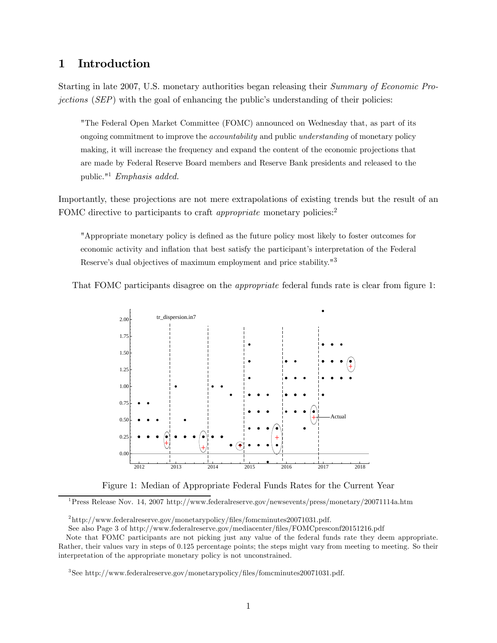# 1 Introduction

Starting in late 2007, U.S. monetary authorities began releasing their Summary of Economic Projections (SEP) with the goal of enhancing the public's understanding of their policies:

"The Federal Open Market Committee (FOMC) announced on Wednesday that, as part of its ongoing commitment to improve the accountability and public understanding of monetary policy making, it will increase the frequency and expand the content of the economic projections that are made by Federal Reserve Board members and Reserve Bank presidents and released to the public."<sup>1</sup> Emphasis added.

Importantly, these projections are not mere extrapolations of existing trends but the result of an FOMC directive to participants to craft *appropriate* monetary policies:<sup>2</sup>

"Appropriate monetary policy is defined as the future policy most likely to foster outcomes for economic activity and inflation that best satisfy the participant's interpretation of the Federal Reserve's dual objectives of maximum employment and price stability."3

That FOMC participants disagree on the appropriate federal funds rate is clear from figure 1:



Figure 1: Median of Appropriate Federal Funds Rates for the Current Year

1Press Release Nov. 14, 2007 http://www.federalreserve.gov/newsevents/press/monetary/20071114a.htm

<sup>2</sup>http://www.federalreserve.gov/monetarypolicy/files/fomcminutes20071031.pdf.

See also Page 3 of http://www.federalreserve.gov/mediacenter/files/FOMCpresconf20151216.pdf

Note that FOMC participants are not picking just any value of the federal funds rate they deem appropriate. Rather, their values vary in steps of 0.125 percentage points; the steps might vary from meeting to meeting. So their interpretation of the appropriate monetary policy is not unconstrained.

<sup>3</sup>See http://www.federalreserve.gov/monetarypolicy/files/fomcminutes20071031.pdf.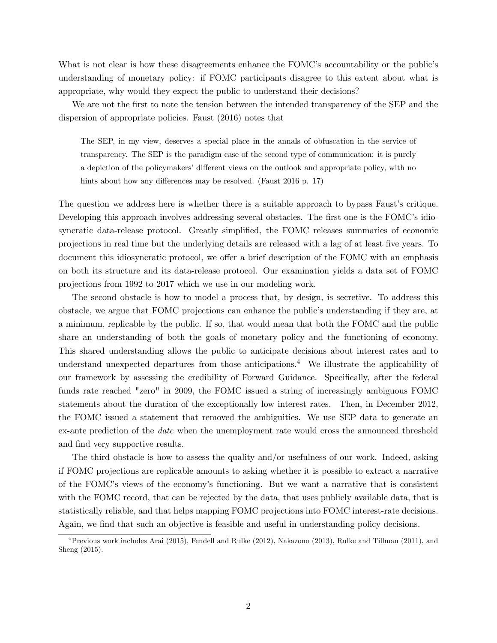What is not clear is how these disagreements enhance the FOMC's accountability or the public's understanding of monetary policy: if FOMC participants disagree to this extent about what is appropriate, why would they expect the public to understand their decisions?

We are not the first to note the tension between the intended transparency of the SEP and the dispersion of appropriate policies. Faust (2016) notes that

The SEP, in my view, deserves a special place in the annals of obfuscation in the service of transparency. The SEP is the paradigm case of the second type of communication: it is purely a depiction of the policymakers' different views on the outlook and appropriate policy, with no hints about how any differences may be resolved. (Faust 2016 p. 17)

The question we address here is whether there is a suitable approach to bypass Faust's critique. Developing this approach involves addressing several obstacles. The first one is the FOMC's idiosyncratic data-release protocol. Greatly simplified, the FOMC releases summaries of economic projections in real time but the underlying details are released with a lag of at least five years. To document this idiosyncratic protocol, we offer a brief description of the FOMC with an emphasis on both its structure and its data-release protocol. Our examination yields a data set of FOMC projections from 1992 to 2017 which we use in our modeling work.

The second obstacle is how to model a process that, by design, is secretive. To address this obstacle, we argue that FOMC projections can enhance the public's understanding if they are, at a minimum, replicable by the public. If so, that would mean that both the FOMC and the public share an understanding of both the goals of monetary policy and the functioning of economy. This shared understanding allows the public to anticipate decisions about interest rates and to understand unexpected departures from those anticipations.<sup>4</sup> We illustrate the applicability of our framework by assessing the credibility of Forward Guidance. Specifically, after the federal funds rate reached "zero" in 2009, the FOMC issued a string of increasingly ambiguous FOMC statements about the duration of the exceptionally low interest rates. Then, in December 2012, the FOMC issued a statement that removed the ambiguities. We use SEP data to generate an ex-ante prediction of the date when the unemployment rate would cross the announced threshold and find very supportive results.

The third obstacle is how to assess the quality and/or usefulness of our work. Indeed, asking if FOMC projections are replicable amounts to asking whether it is possible to extract a narrative of the FOMC's views of the economy's functioning. But we want a narrative that is consistent with the FOMC record, that can be rejected by the data, that uses publicly available data, that is statistically reliable, and that helps mapping FOMC projections into FOMC interest-rate decisions. Again, we find that such an objective is feasible and useful in understanding policy decisions.

<sup>&</sup>lt;sup>4</sup> Previous work includes Arai (2015), Fendell and Rulke (2012), Nakazono (2013), Rulke and Tillman (2011), and Sheng (2015).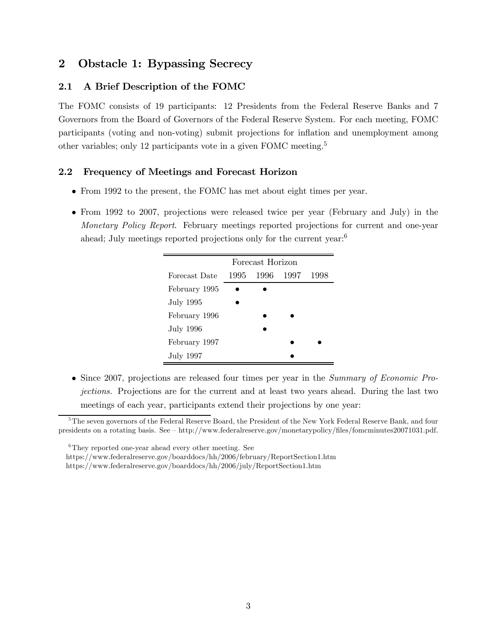# 2 Obstacle 1: Bypassing Secrecy

# 2.1 A Brief Description of the FOMC

The FOMC consists of 19 participants: 12 Presidents from the Federal Reserve Banks and 7 Governors from the Board of Governors of the Federal Reserve System. For each meeting, FOMC participants (voting and non-voting) submit projections for inflation and unemployment among other variables; only 12 participants vote in a given FOMC meeting.5

# 2.2 Frequency of Meetings and Forecast Horizon

- From 1992 to the present, the FOMC has met about eight times per year.
- From 1992 to 2007, projections were released twice per year (February and July) in the Monetary Policy Report. February meetings reported projections for current and one-year ahead; July meetings reported projections only for the current year:6

|               |      | Forecast Horizon |      |
|---------------|------|------------------|------|
| Forecast Date | 1995 | 1996 1997        | 1998 |
| February 1995 |      |                  |      |
| July 1995     |      |                  |      |
| February 1996 |      |                  |      |
| July 1996     |      |                  |      |
| February 1997 |      |                  |      |
| July 1997     |      |                  |      |

• Since 2007, projections are released four times per year in the Summary of Economic Projections. Projections are for the current and at least two years ahead. During the last two meetings of each year, participants extend their projections by one year:

<sup>&</sup>lt;sup>5</sup>The seven governors of the Federal Reserve Board, the President of the New York Federal Reserve Bank, and four presidents on a rotating basis. See — http://www.federalreserve.gov/monetarypolicy/files/fomcminutes20071031.pdf.

<sup>&</sup>lt;sup>6</sup>They reported one-year ahead every other meeting. See

https://www.federalreserve.gov/boarddocs/hh/2006/february/ReportSection1.htm

https://www.federalreserve.gov/boarddocs/hh/2006/july/ReportSection1.htm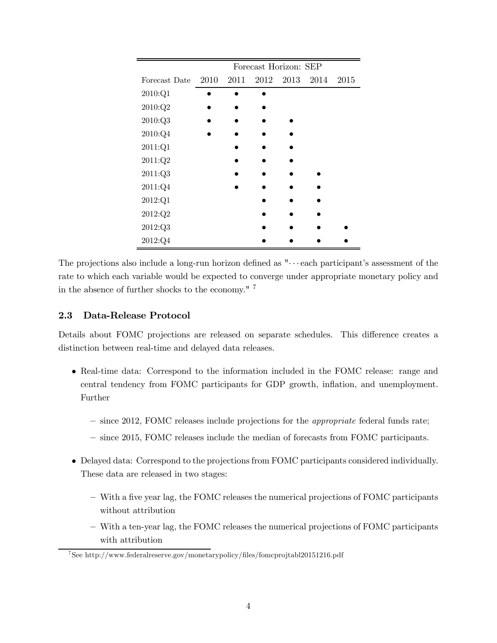|               |      |      |      | Forecast Horizon: SEP |           |      |
|---------------|------|------|------|-----------------------|-----------|------|
| Forecast Date | 2010 | 2011 | 2012 |                       | 2013 2014 | 2015 |
| 2010:Q1       |      |      |      |                       |           |      |
| 2010:Q2       |      |      |      |                       |           |      |
| 2010:Q3       |      |      |      |                       |           |      |
| 2010:Q4       |      |      |      |                       |           |      |
| 2011:Q1       |      |      |      |                       |           |      |
| 2011:Q2       |      |      |      |                       |           |      |
| 2011:Q3       |      |      |      |                       |           |      |
| 2011:Q4       |      |      |      |                       |           |      |
| 2012:Q1       |      |      |      |                       |           |      |
| 2012:Q2       |      |      |      |                       |           |      |
| 2012:Q3       |      |      |      |                       |           |      |
| 2012:Q4       |      |      |      |                       |           |      |

The projections also include a long-run horizon defined as  $"\cdots$  each participant's assessment of the rate to which each variable would be expected to converge under appropriate monetary policy and in the absence of further shocks to the economy." <sup>7</sup>

# 2.3 Data-Release Protocol

Details about FOMC projections are released on separate schedules. This difference creates a distinction between real-time and delayed data releases.

- Real-time data: Correspond to the information included in the FOMC release: range and central tendency from FOMC participants for GDP growth, inflation, and unemployment. Further
	- since 2012, FOMC releases include projections for the appropriate federal funds rate;
	- since 2015, FOMC releases include the median of forecasts from FOMC participants.
- Delayed data: Correspond to the projections from FOMC participants considered individually. These data are released in two stages:
	- With a five year lag, the FOMC releases the numerical projections of FOMC participants without attribution
	- With a ten-year lag, the FOMC releases the numerical projections of FOMC participants with attribution

<sup>7</sup>See http://www.federalreserve.gov/monetarypolicy/files/fomcprojtabl20151216.pdf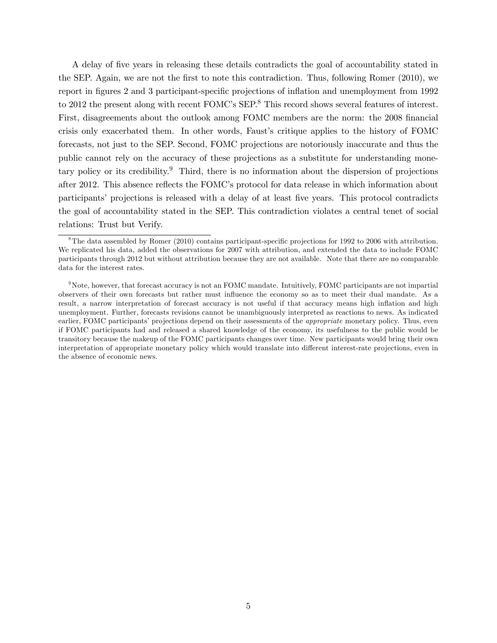A delay of five years in releasing these details contradicts the goal of accountability stated in the SEP. Again, we are not the first to note this contradiction. Thus, following Romer (2010), we report in figures 2 and 3 participant-specific projections of inflation and unemployment from 1992 to 2012 the present along with recent FOMC's SEP.<sup>8</sup> This record shows several features of interest. First, disagreements about the outlook among FOMC members are the norm: the 2008 financial crisis only exacerbated them. In other words, Faust's critique applies to the history of FOMC forecasts, not just to the SEP. Second, FOMC projections are notoriously inaccurate and thus the public cannot rely on the accuracy of these projections as a substitute for understanding monetary policy or its credibility.<sup>9</sup> Third, there is no information about the dispersion of projections after 2012. This absence reflects the FOMC's protocol for data release in which information about participants' projections is released with a delay of at least five years. This protocol contradicts the goal of accountability stated in the SEP. This contradiction violates a central tenet of social relations: Trust but Verify.

<sup>&</sup>lt;sup>8</sup>The data assembled by Romer (2010) contains participant-specific projections for 1992 to 2006 with attribution. We replicated his data, added the observations for 2007 with attribution, and extended the data to include FOMC participants through 2012 but without attribution because they are not available. Note that there are no comparable data for the interest rates.

<sup>&</sup>lt;sup>9</sup>Note, however, that forecast accuracy is not an FOMC mandate. Intuitively, FOMC participants are not impartial observers of their own forecasts but rather must influence the economy so as to meet their dual mandate. As a result, a narrow interpretation of forecast accuracy is not useful if that accuracy means high inflation and high unemployment. Further, forecasts revisions cannot be unambiguously interpreted as reactions to news. As indicated earlier, FOMC participants' projections depend on their assessments of the *appropriate* monetary policy. Thus, even if FOMC participants had and released a shared knowledge of the economy, its usefulness to the public would be transitory because the makeup of the FOMC participants changes over time. New participants would bring their own interpretation of appropriate monetary policy which would translate into different interest-rate projections, even in the absence of economic news.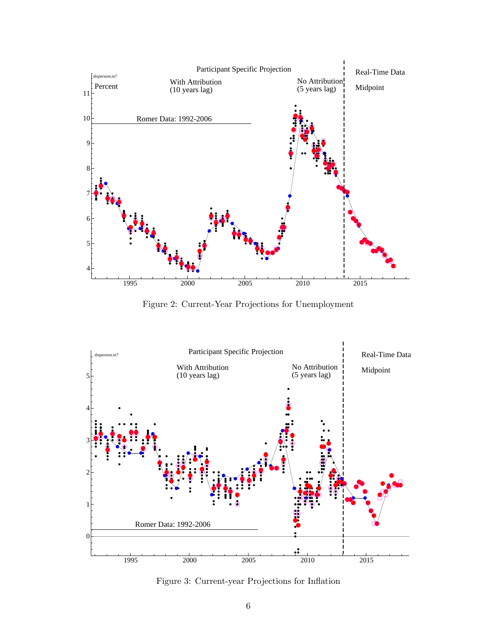

Figure 2: Current-Year Projections for Unemployment



Figure 3: Current-year Projections for Inflation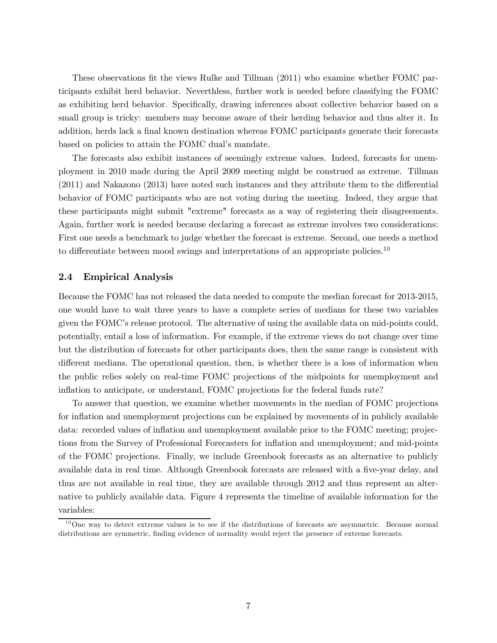These observations fit the views Rulke and Tillman (2011) who examine whether FOMC participants exhibit herd behavior. Neverthless, further work is needed before classifying the FOMC as exhibiting herd behavior. Specifically, drawing inferences about collective behavior based on a small group is tricky: members may become aware of their herding behavior and thus alter it. In addition, herds lack a final known destination whereas FOMC participants generate their forecasts based on policies to attain the FOMC dual's mandate.

The forecasts also exhibit instances of seemingly extreme values. Indeed, forecasts for unemployment in 2010 made during the April 2009 meeting might be construed as extreme. Tillman (2011) and Nakazono (2013) have noted such instances and they attribute them to the differential behavior of FOMC participants who are not voting during the meeting. Indeed, they argue that these participants might submit "extreme" forecasts as a way of registering their disagreements. Again, further work is needed because declaring a forecast as extreme involves two considerations: First one needs a benchmark to judge whether the forecast is extreme. Second, one needs a method to differentiate between mood swings and interpretations of an appropriate policies.<sup>10</sup>

#### 2.4 Empirical Analysis

Because the FOMC has not released the data needed to compute the median forecast for 2013-2015, one would have to wait three years to have a complete series of medians for these two variables given the FOMC's release protocol. The alternative of using the available data on mid-points could, potentially, entail a loss of information. For example, if the extreme views do not change over time but the distribution of forecasts for other participants does, then the same range is consistent with different medians. The operational question, then, is whether there is a loss of information when the public relies solely on real-time FOMC projections of the midpoints for unemployment and inflation to anticipate, or understand, FOMC projections for the federal funds rate?

To answer that question, we examine whether movements in the median of FOMC projections for inflation and unemployment projections can be explained by movements of in publicly available data: recorded values of inflation and unemployment available prior to the FOMC meeting; projections from the Survey of Professional Forecasters for inflation and unemployment; and mid-points of the FOMC projections. Finally, we include Greenbook forecasts as an alternative to publicly available data in real time. Although Greenbook forecasts are released with a five-year delay, and thus are not available in real time, they are available through 2012 and thus represent an alternative to publicly available data. Figure 4 represents the timeline of available information for the variables:

 $10$ One way to detect extreme values is to see if the distributions of forecasts are asymmetric. Because normal distributions are symmetric, finding evidence of normality would reject the presence of extreme forecasts.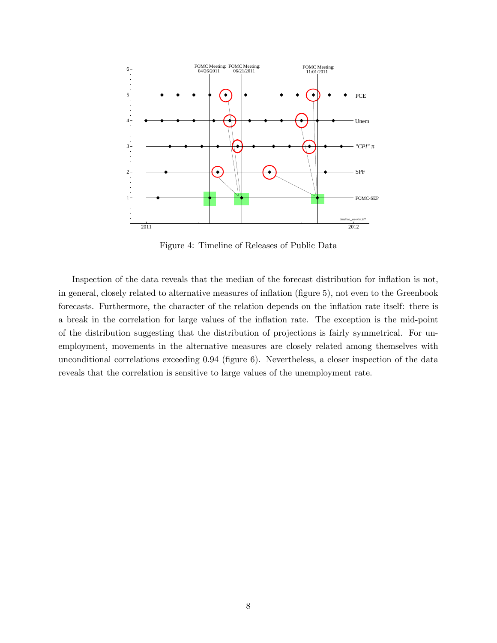

Figure 4: Timeline of Releases of Public Data

Inspection of the data reveals that the median of the forecast distribution for inflation is not, in general, closely related to alternative measures of inflation (figure 5), not even to the Greenbook forecasts. Furthermore, the character of the relation depends on the inflation rate itself: there is a break in the correlation for large values of the inflation rate. The exception is the mid-point of the distribution suggesting that the distribution of projections is fairly symmetrical. For unemployment, movements in the alternative measures are closely related among themselves with unconditional correlations exceeding 0.94 (figure 6). Nevertheless, a closer inspection of the data reveals that the correlation is sensitive to large values of the unemployment rate.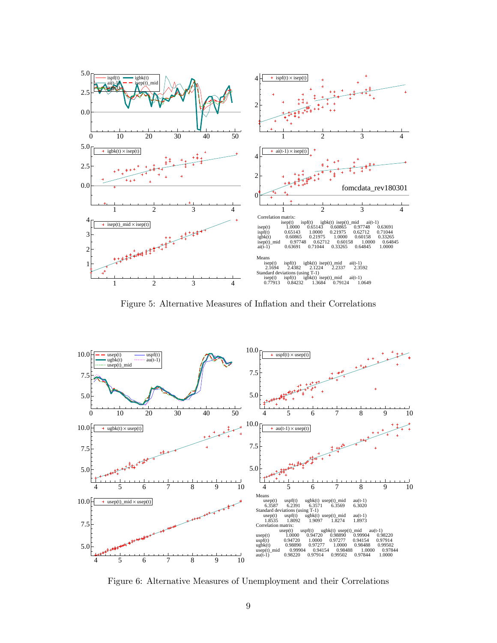

Figure 5: Alternative Measures of Inflation and their Correlations



Figure 6: Alternative Measures of Unemployment and their Correlations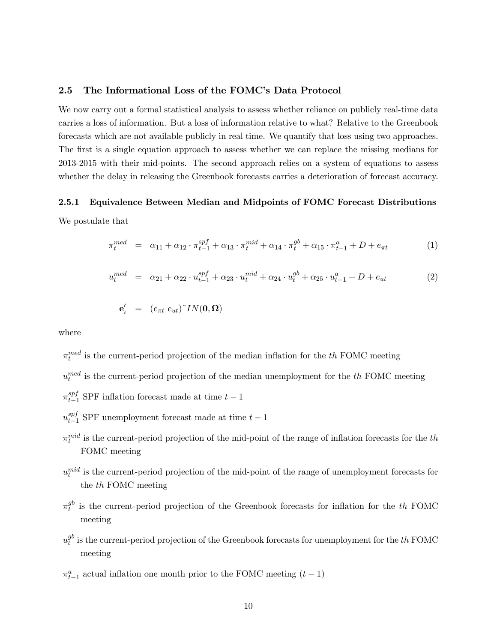#### 2.5 The Informational Loss of the FOMC's Data Protocol

We now carry out a formal statistical analysis to assess whether reliance on publicly real-time data carries a loss of information. But a loss of information relative to what? Relative to the Greenbook forecasts which are not available publicly in real time. We quantify that loss using two approaches. The first is a single equation approach to assess whether we can replace the missing medians for 2013-2015 with their mid-points. The second approach relies on a system of equations to assess whether the delay in releasing the Greenbook forecasts carries a deterioration of forecast accuracy.

### 2.5.1 Equivalence Between Median and Midpoints of FOMC Forecast Distributions

We postulate that

$$
\pi_t^{med} = \alpha_{11} + \alpha_{12} \cdot \pi_{t-1}^{spf} + \alpha_{13} \cdot \pi_t^{mid} + \alpha_{14} \cdot \pi_t^{gb} + \alpha_{15} \cdot \pi_{t-1}^a + D + e_{\pi t} \tag{1}
$$

$$
u_t^{med} = \alpha_{21} + \alpha_{22} \cdot u_{t-1}^{spf} + \alpha_{23} \cdot u_t^{mid} + \alpha_{24} \cdot u_t^{gb} + \alpha_{25} \cdot u_{t-1}^a + D + e_{ut}
$$
 (2)

$$
\mathbf{e}'_t = (e_{\pi t} \ e_{ut})^{\sim} IN(\mathbf{0}, \mathbf{\Omega})
$$

where

- $\pi_t^{med}$  is the current-period projection of the median inflation for the  $th$  FOMC meeting
- $u_t^{med}$  is the current-period projection of the median unemployment for the  $th$  FOMC meeting
- $\pi_{t-1}^{spf}$  SPF inflation forecast made at time  $t-1$
- $u_{t-1}^{spf}$  SPF unemployment forecast made at time  $t-1$
- $\pi_t^{mid}$  is the current-period projection of the mid-point of the range of inflation forecasts for the th FOMC meeting
- $u_t^{mid}$  is the current-period projection of the mid-point of the range of unemployment forecasts for the the FOMC meeting
- $\pi_t^{gb}$  is the current-period projection of the Greenbook forecasts for inflation for the the FOMC meeting
- $u_t^{gb}$  is the current-period projection of the Greenbook forecasts for unemployment for the  $th$  FOMC meeting
- $\pi_{t-1}^a$  actual inflation one month prior to the FOMC meeting  $(t-1)$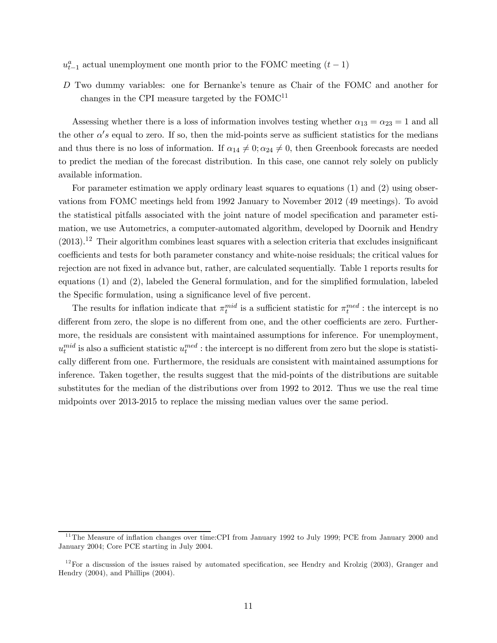- $u_{t-1}^a$  actual unemployment one month prior to the FOMC meeting  $(t-1)$
- Two dummy variables: one for Bernanke's tenure as Chair of the FOMC and another for changes in the CPI measure targeted by the  ${\rm FOMC^{11}}$

Assessing whether there is a loss of information involves testing whether  $\alpha_{13} = \alpha_{23} = 1$  and all the other  $\alpha's$  equal to zero. If so, then the mid-points serve as sufficient statistics for the medians and thus there is no loss of information. If  $\alpha_{14} \neq 0$ ;  $\alpha_{24} \neq 0$ , then Greenbook forecasts are needed to predict the median of the forecast distribution. In this case, one cannot rely solely on publicly available information.

For parameter estimation we apply ordinary least squares to equations (1) and (2) using observations from FOMC meetings held from 1992 January to November 2012 (49 meetings). To avoid the statistical pitfalls associated with the joint nature of model specification and parameter estimation, we use Autometrics, a computer-automated algorithm, developed by Doornik and Hendry  $(2013).<sup>12</sup>$  Their algorithm combines least squares with a selection criteria that excludes insignificant coefficients and tests for both parameter constancy and white-noise residuals; the critical values for rejection are not fixed in advance but, rather, are calculated sequentially. Table 1 reports results for equations (1) and (2), labeled the General formulation, and for the simplified formulation, labeled the Specific formulation, using a significance level of five percent.

The results for inflation indicate that  $\pi_t^{mid}$  is a sufficient statistic for  $\pi_t^{med}$ : the intercept is no different from zero, the slope is no different from one, and the other coefficients are zero. Furthermore, the residuals are consistent with maintained assumptions for inference. For unemployment,  $u_t^{mid}$  is also a sufficient statistic  $u_t^{med}$  : the intercept is no different from zero but the slope is statistically different from one. Furthermore, the residuals are consistent with maintained assumptions for inference. Taken together, the results suggest that the mid-points of the distributions are suitable substitutes for the median of the distributions over from 1992 to 2012. Thus we use the real time midpoints over 2013-2015 to replace the missing median values over the same period.

<sup>&</sup>lt;sup>11</sup>The Measure of inflation changes over time:CPI from January 1992 to July 1999; PCE from January 2000 and January 2004; Core PCE starting in July 2004.

 $12$  For a discussion of the issues raised by automated specification, see Hendry and Krolzig (2003), Granger and Hendry (2004), and Phillips (2004).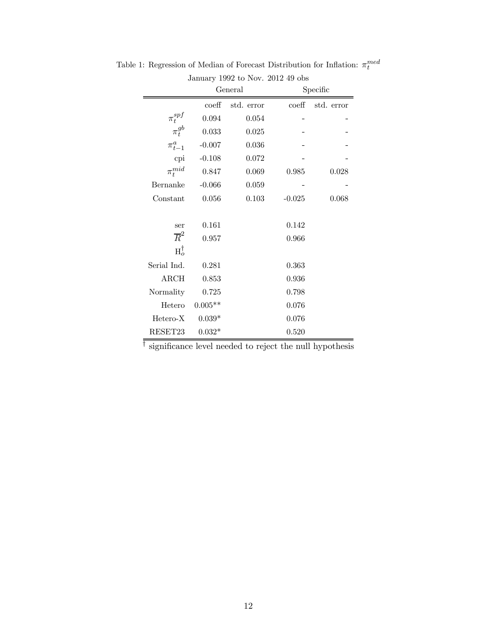| January 1992 to Nov. 2012 49 obs |                  |            |                  |            |  |  |  |
|----------------------------------|------------------|------------|------------------|------------|--|--|--|
|                                  | General          |            | Specific         |            |  |  |  |
|                                  | $\mathrm{coeff}$ | std. error | $\mathrm{coeff}$ | std. error |  |  |  |
| $\pi_t^{spf}$                    | 0.094            | 0.054      |                  |            |  |  |  |
| $\pi_t^{gb}$                     | 0.033            | 0.025      |                  |            |  |  |  |
| $\pi^a_{t-1}$                    | $-0.007$         | 0.036      |                  |            |  |  |  |
| cpi                              | $-0.108$         | 0.072      |                  |            |  |  |  |
| $\pi_t^{mid}$                    | 0.847            | 0.069      | 0.985            | 0.028      |  |  |  |
| Bernanke                         | $-0.066$         | 0.059      |                  |            |  |  |  |
| Constant                         | 0.056            | 0.103      | $-0.025$         | 0.068      |  |  |  |
|                                  |                  |            |                  |            |  |  |  |
| ser                              | 0.161            |            | 0.142            |            |  |  |  |
| $\overline{R}^2$                 | 0.957            |            | 0.966            |            |  |  |  |
| $H_o^{\dagger}$                  |                  |            |                  |            |  |  |  |
| Serial Ind.                      | 0.281            |            | 0.363            |            |  |  |  |
| ARCH                             | 0.853            |            | 0.936            |            |  |  |  |
| Normality                        | 0.725            |            | 0.798            |            |  |  |  |
| Hetero                           | $0.005**$        |            | 0.076            |            |  |  |  |
| Hetero-X                         | $0.039*$         |            | 0.076            |            |  |  |  |
| RESET23                          | $0.032*$         |            | 0.520            |            |  |  |  |

Table 1: Regression of Median of Forecast Distribution for Inflation:  $\pi_t^{med}$ 

 $\overline{\dag}$  significance level needed to reject the null hypothesis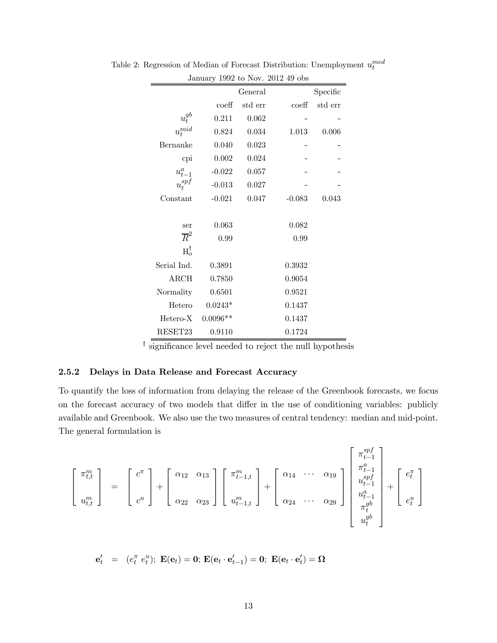|                         | January 1992 to Nov. 2012 49 obs |         |                  |         |  |  |  |  |
|-------------------------|----------------------------------|---------|------------------|---------|--|--|--|--|
|                         | General                          |         |                  |         |  |  |  |  |
|                         | $\mathrm{coeff}$                 | std err | $\mathrm{coeff}$ | std err |  |  |  |  |
| $\boldsymbol{u}^{gb}_t$ | 0.211                            | 0.062   |                  |         |  |  |  |  |
| $u_t^{mid}$             | 0.824                            | 0.034   | 1.013            | 0.006   |  |  |  |  |
| Bernanke                | 0.040                            | 0.023   |                  |         |  |  |  |  |
| cpi                     | $0.002\,$                        | 0.024   |                  |         |  |  |  |  |
| $u_{t-1}^a$             | $-0.022$                         | 0.057   |                  |         |  |  |  |  |
| $u_t^{spf}$             | $-0.013$                         | 0.027   |                  |         |  |  |  |  |
| Constant                | $-0.021$                         | 0.047   | $-0.083$         | 0.043   |  |  |  |  |
|                         |                                  |         |                  |         |  |  |  |  |
| ser                     | 0.063                            |         | 0.082            |         |  |  |  |  |
| $\overline{R}^2$        | 0.99                             |         | 0.99             |         |  |  |  |  |
| $H_o^{\dagger}$         |                                  |         |                  |         |  |  |  |  |
| Serial Ind.             | 0.3891                           |         | 0.3932           |         |  |  |  |  |
| ARCH                    | 0.7850                           |         | 0.9054           |         |  |  |  |  |
| Normality               | 0.6501                           |         | 0.9521           |         |  |  |  |  |
| Hetero                  | $0.0243*$                        |         | 0.1437           |         |  |  |  |  |
| Hetero-X                | $0.0096**$                       |         | 0.1437           |         |  |  |  |  |
| RESET23                 | 0.9110                           |         | 0.1724           |         |  |  |  |  |

Table 2: Regression of Median of Forecast Distribution: Unemployment  $u_t^{med}$ 

† significance level needed to reject the null hypothesis

## 2.5.2 Delays in Data Release and Forecast Accuracy

To quantify the loss of information from delaying the release of the Greenbook forecasts, we focus on the forecast accuracy of two models that differ in the use of conditioning variables: publicly available and Greenbook. We also use the two measures of central tendency: median and mid-point. The general formulation is

$$
\begin{bmatrix} \pi_{t,t}^m \\ u_{t,t}^m \end{bmatrix} = \begin{bmatrix} c^{\pi} \\ c^u \end{bmatrix} + \begin{bmatrix} \alpha_{12} & \alpha_{13} \\ \alpha_{22} & \alpha_{23} \end{bmatrix} \begin{bmatrix} \pi_{t-1,t}^m \\ u_{t-1,t}^m \end{bmatrix} + \begin{bmatrix} \alpha_{14} & \cdots & \alpha_{19} \\ \alpha_{24} & \cdots & \alpha_{29} \end{bmatrix} \begin{bmatrix} \pi_{t-1}^{spf} \\ u_{t-1}^m \\ u_{t-1}^m \\ \pi_t^{gb} \\ u_t^{gb} \end{bmatrix} + \begin{bmatrix} e_t^{\pi} \\ e_t^u \\ e_t^u \end{bmatrix}
$$

$$
{\bf e}'_t \ \ = \ \ (e^{\pi}_t \ e^u_t); \ {\bf E}({\bf e}_t) = {\bf 0}; \ {\bf E}({\bf e}_t \cdot {\bf e}'_{t-1}) = {\bf 0}; \ {\bf E}({\bf e}_t \cdot {\bf e}'_t) = {\bf \Omega}
$$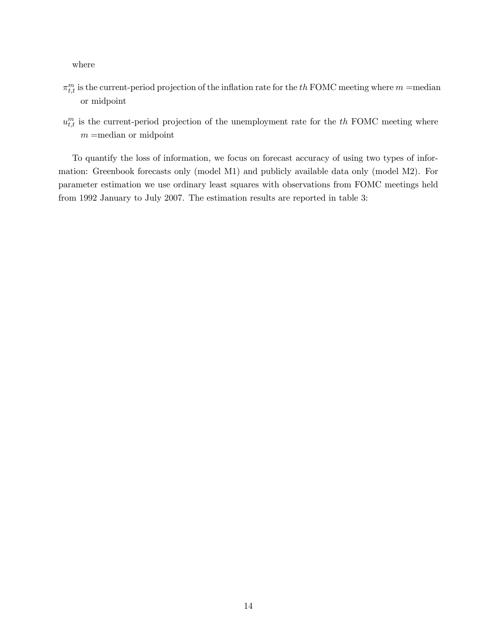where

- $\pi_{t,t}^m$  is the current-period projection of the inflation rate for the  $th$  FOMC meeting where  $m =$ median or midpoint
- $u_{t,t}^m$  is the current-period projection of the unemployment rate for the  $th$  FOMC meeting where  $m =$ median or midpoint

To quantify the loss of information, we focus on forecast accuracy of using two types of information: Greenbook forecasts only (model M1) and publicly available data only (model M2). For parameter estimation we use ordinary least squares with observations from FOMC meetings held from 1992 January to July 2007. The estimation results are reported in table 3: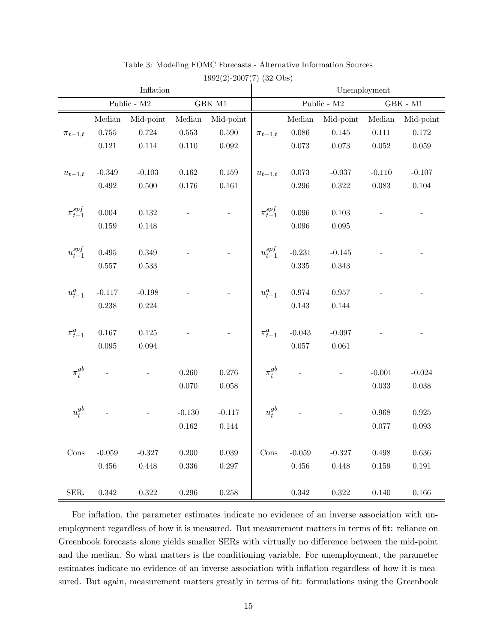|                                |                                         | Inflation   |                               |             |                                |             | Unemployment      |             |                        |  |  |
|--------------------------------|-----------------------------------------|-------------|-------------------------------|-------------|--------------------------------|-------------|-------------------|-------------|------------------------|--|--|
|                                | Public - $\rm M2$<br>$\rm GBK$ $\rm M1$ |             |                               |             |                                |             | Public - $\rm M2$ |             | $\rm{GBK}$ - $\rm{M1}$ |  |  |
|                                | $\label{thm:1} \textbf{Median}$         | Mid-point   | $\label{thm:1} \mbox{Median}$ | Mid-point   |                                | Median      | Mid-point         | Median      | Mid-point              |  |  |
| $\pi_{t-1,t}$                  | $0.755\,$                               | 0.724       | $0.553\,$                     | $0.590\,$   | $\pi_{t-1,t}$                  | 0.086       | $0.145\,$         | $0.111\,$   | 0.172                  |  |  |
|                                | $0.121\,$                               | $0.114\,$   | 0.110                         | $\,0.092\,$ |                                | 0.073       | $\,0.073\,$       | $0.052\,$   | 0.059                  |  |  |
|                                |                                         |             |                               |             |                                |             |                   |             |                        |  |  |
| $u_{t-1,t}$                    | $-0.349$                                | $-0.103$    | $\,0.162\,$                   | $0.159\,$   | $u_{t-1,t}$                    | $\,0.073\,$ | $-0.037$          | $-0.110$    | $-0.107$               |  |  |
|                                | $0.492\,$                               | $0.500\,$   | 0.176                         | $0.161\,$   |                                | 0.296       | $0.322\,$         | 0.083       | $\,0.104\,$            |  |  |
| $\pi_{t-1}^{spf}$              | $0.004\,$                               | $0.132\,$   |                               |             | $\pi^{spf}_{t-1}$              | 0.096       | 0.103             |             |                        |  |  |
|                                | $0.159\,$                               | 0.148       |                               |             |                                | 0.096       | 0.095             |             |                        |  |  |
|                                |                                         |             |                               |             |                                |             |                   |             |                        |  |  |
| $u_{t-1}^{\operatorname{spf}}$ | $0.495\,$                               | 0.349       |                               |             | $u_{t-1}^{\operatorname{spf}}$ | $-0.231$    | $-0.145$          |             |                        |  |  |
|                                | 0.557                                   | 0.533       |                               |             |                                | 0.335       | $\,0.343\,$       |             |                        |  |  |
|                                |                                         |             |                               |             |                                |             |                   |             |                        |  |  |
| $u_{t-1}^a$                    | $-0.117$                                | $-0.198$    |                               |             | $u_{t-1}^a$                    | 0.974       | $0.957\,$         |             |                        |  |  |
|                                | 0.238                                   | $\,0.224\,$ |                               |             |                                | 0.143       | 0.144             |             |                        |  |  |
|                                |                                         |             |                               |             |                                |             |                   |             |                        |  |  |
| $\pi^a_{t-1}$                  | $0.167\,$                               | $0.125\,$   |                               |             | $\pi^a_{t-1}$                  | $-0.043$    | $-0.097$          |             |                        |  |  |
|                                | $\,0.095\,$                             | 0.094       |                               |             |                                | $0.057\,$   | $\,0.061\,$       |             |                        |  |  |
|                                |                                         |             |                               |             | $\pi_t^{gb}$                   |             |                   |             |                        |  |  |
| $\pi_t^{gb}$                   |                                         |             | 0.260                         | 0.276       |                                |             |                   | $-0.001$    | $-0.024$               |  |  |
|                                |                                         |             | 0.070                         | $0.058\,$   |                                |             |                   | $\,0.033\,$ | $0.038\,$              |  |  |
| $u_t^{gb}$                     |                                         |             | $-0.130$                      | $-0.117$    | $u_t^{gb}$                     |             |                   | $\,0.968\,$ | $\,0.925\,$            |  |  |
|                                |                                         |             | $\,0.162\,$                   | 0.144       |                                |             |                   | 0.077       | 0.093                  |  |  |
|                                |                                         |             |                               |             |                                |             |                   |             |                        |  |  |
| Cons                           | $-0.059$                                | $-0.327$    | 0.200                         | $0.039\,$   | Cons                           | $-0.059$    | $-0.327$          | 0.498       | $0.636\,$              |  |  |
|                                | $0.456\,$                               | 0.448       | $0.336\,$                     | $0.297\,$   |                                | $0.456\,$   | 0.448             | $0.159\,$   | $\rm 0.191$            |  |  |
|                                |                                         |             |                               |             |                                |             |                   |             |                        |  |  |
| SER.                           | 0.342                                   | $0.322\,$   | $0.296\,$                     | $0.258\,$   |                                | $\,0.342\,$ | 0.322             | 0.140       | 0.166                  |  |  |

Table 3: Modeling FOMC Forecasts - Alternative Information Sources

1992(2)-2007(7) (32 Obs)

For inflation, the parameter estimates indicate no evidence of an inverse association with unemployment regardless of how it is measured. But measurement matters in terms of fit: reliance on Greenbook forecasts alone yields smaller SERs with virtually no difference between the mid-point and the median. So what matters is the conditioning variable. For unemployment, the parameter estimates indicate no evidence of an inverse association with inflation regardless of how it is measured. But again, measurement matters greatly in terms of fit: formulations using the Greenbook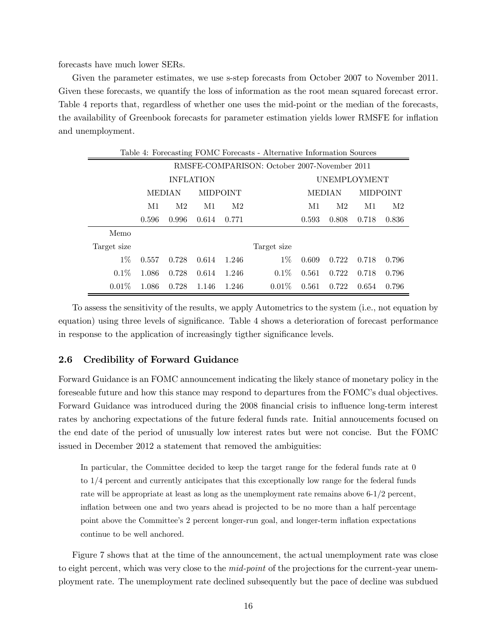forecasts have much lower SERs.

Given the parameter estimates, we use s-step forecasts from October 2007 to November 2011. Given these forecasts, we quantify the loss of information as the root mean squared forecast error. Table 4 reports that, regardless of whether one uses the mid-point or the median of the forecasts, the availability of Greenbook forecasts for parameter estimation yields lower RMSFE for inflation and unemployment.

|             | Table 4: Forecasting FOMC Forecasts - Alternative Information Sources |       |                  |                 |             |       |               |       |                 |  |
|-------------|-----------------------------------------------------------------------|-------|------------------|-----------------|-------------|-------|---------------|-------|-----------------|--|
|             | RMSFE-COMPARISON: October 2007-November 2011                          |       |                  |                 |             |       |               |       |                 |  |
|             |                                                                       |       | <b>INFLATION</b> |                 |             |       | UNEMPLOYMENT  |       |                 |  |
|             | <b>MEDIAN</b>                                                         |       |                  | <b>MIDPOINT</b> |             |       | <b>MEDIAN</b> |       | <b>MIDPOINT</b> |  |
|             | M1                                                                    | M2    | M1               | M2              |             | M1    | M2            | M1    | M2              |  |
|             | 0.596                                                                 | 0.996 | 0.614            | 0.771           |             | 0.593 | 0.808         | 0.718 | 0.836           |  |
| Memo        |                                                                       |       |                  |                 |             |       |               |       |                 |  |
| Target size |                                                                       |       |                  |                 | Target size |       |               |       |                 |  |
| $1\%$       | 0.557                                                                 | 0.728 | 0.614            | 1.246           | $1\%$       | 0.609 | 0.722         | 0.718 | 0.796           |  |
| $0.1\%$     | 1.086                                                                 | 0.728 | 0.614            | 1.246           | $0.1\%$     | 0.561 | 0.722         | 0.718 | 0.796           |  |
| $0.01\%$    | 1.086                                                                 | 0.728 | 1.146            | 1.246           | $0.01\%$    | 0.561 | 0.722         | 0.654 | 0.796           |  |

To assess the sensitivity of the results, we apply Autometrics to the system (i.e., not equation by equation) using three levels of significance. Table 4 shows a deterioration of forecast performance in response to the application of increasingly tigther significance levels.

#### 2.6 Credibility of Forward Guidance

Forward Guidance is an FOMC announcement indicating the likely stance of monetary policy in the foreseable future and how this stance may respond to departures from the FOMC's dual objectives. Forward Guidance was introduced during the 2008 financial crisis to influence long-term interest rates by anchoring expectations of the future federal funds rate. Initial annoucements focused on the end date of the period of unusually low interest rates but were not concise. But the FOMC issued in December 2012 a statement that removed the ambiguities:

In particular, the Committee decided to keep the target range for the federal funds rate at 0 to 1/4 percent and currently anticipates that this exceptionally low range for the federal funds rate will be appropriate at least as long as the unemployment rate remains above 6-1/2 percent, inflation between one and two years ahead is projected to be no more than a half percentage point above the Committee's 2 percent longer-run goal, and longer-term inflation expectations continue to be well anchored.

Figure 7 shows that at the time of the announcement, the actual unemployment rate was close to eight percent, which was very close to the *mid-point* of the projections for the current-year unemployment rate. The unemployment rate declined subsequently but the pace of decline was subdued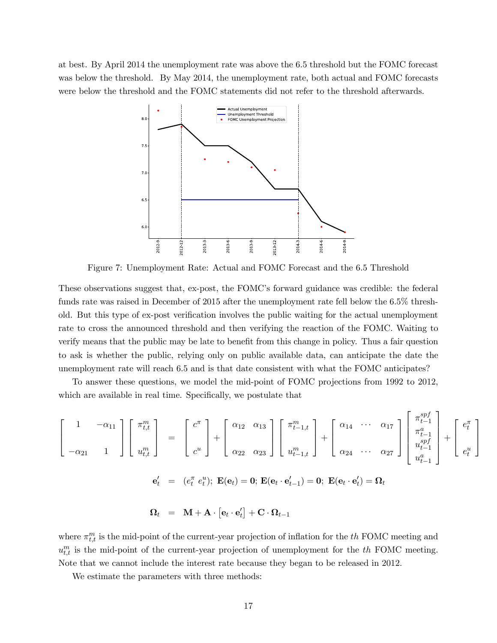at best. By April 2014 the unemployment rate was above the 6.5 threshold but the FOMC forecast was below the threshold. By May 2014, the unemployment rate, both actual and FOMC forecasts were below the threshold and the FOMC statements did not refer to the threshold afterwards.



Figure 7: Unemployment Rate: Actual and FOMC Forecast and the 6.5 Threshold

These observations suggest that, ex-post, the FOMC's forward guidance was credible: the federal funds rate was raised in December of 2015 after the unemployment rate fell below the 6.5% threshold. But this type of ex-post verification involves the public waiting for the actual unemployment rate to cross the announced threshold and then verifying the reaction of the FOMC. Waiting to verify means that the public may be late to benefit from this change in policy. Thus a fair question to ask is whether the public, relying only on public available data, can anticipate the date the unemployment rate will reach 6.5 and is that date consistent with what the FOMC anticipates?

To answer these questions, we model the mid-point of FOMC projections from 1992 to 2012, which are available in real time. Specifically, we postulate that

$$
\begin{bmatrix}\n1 & -\alpha_{11} \\
-\alpha_{21} & 1\n\end{bmatrix}\n\begin{bmatrix}\n\pi_{t,t}^m \\
u_{t,t}^m\n\end{bmatrix} =\n\begin{bmatrix}\nc^{\pi} \\
c^u\n\end{bmatrix} +\n\begin{bmatrix}\n\alpha_{12} & \alpha_{13} \\
\alpha_{22} & \alpha_{23}\n\end{bmatrix}\n\begin{bmatrix}\n\pi_{t-1,t}^m \\
u_{t-1,t}^m\n\end{bmatrix} +\n\begin{bmatrix}\n\alpha_{14} & \cdots & \alpha_{17} \\
\alpha_{24} & \cdots & \alpha_{27}\n\end{bmatrix}\n\begin{bmatrix}\n\pi_{t-1}^{apf} \\
u_{t-1}^{apf} \\
u_{t-1}^a\n\end{bmatrix} +\n\begin{bmatrix}\ne_t^{\pi} \\
e_t^u\n\end{bmatrix}
$$
\n
$$
\mathbf{e}_t' = (e_t^{\pi} e_t^u); \mathbf{E}(\mathbf{e}_t) = \mathbf{0}; \mathbf{E}(\mathbf{e}_t \cdot \mathbf{e}_{t-1}') = \mathbf{0}; \mathbf{E}(\mathbf{e}_t \cdot \mathbf{e}_t') = \mathbf{\Omega}_t
$$
\n
$$
\mathbf{\Omega}_t = \mathbf{M} + \mathbf{A} \cdot [\mathbf{e}_t \cdot \mathbf{e}_t'] + \mathbf{C} \cdot \mathbf{\Omega}_{t-1}
$$

 $\mathsf{r}$ 

where  $\pi_{t,t}^m$  is the mid-point of the current-year projection of inflation for the the FOMC meeting and  $u_{t,t}^m$  is the mid-point of the current-year projection of unemployment for the  $th$  FOMC meeting. Note that we cannot include the interest rate because they began to be released in 2012.

We estimate the parameters with three methods: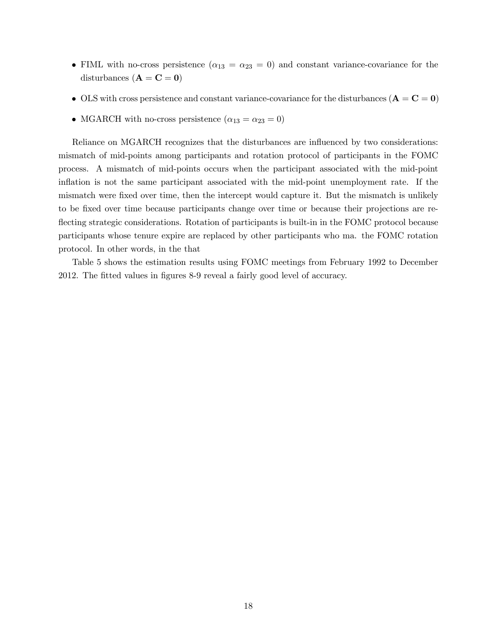- FIML with no-cross persistence  $(\alpha_{13} = \alpha_{23} = 0)$  and constant variance-covariance for the disturbances  $(A = C = 0)$
- OLS with cross persistence and constant variance-covariance for the disturbances  $(A = C = 0)$
- MGARCH with no-cross persistence  $(\alpha_{13} = \alpha_{23} = 0)$

Reliance on MGARCH recognizes that the disturbances are influenced by two considerations: mismatch of mid-points among participants and rotation protocol of participants in the FOMC process. A mismatch of mid-points occurs when the participant associated with the mid-point inflation is not the same participant associated with the mid-point unemployment rate. If the mismatch were fixed over time, then the intercept would capture it. But the mismatch is unlikely to be fixed over time because participants change over time or because their projections are reflecting strategic considerations. Rotation of participants is built-in in the FOMC protocol because participants whose tenure expire are replaced by other participants who ma. the FOMC rotation protocol. In other words, in the that

Table 5 shows the estimation results using FOMC meetings from February 1992 to December 2012. The fitted values in figures 8-9 reveal a fairly good level of accuracy.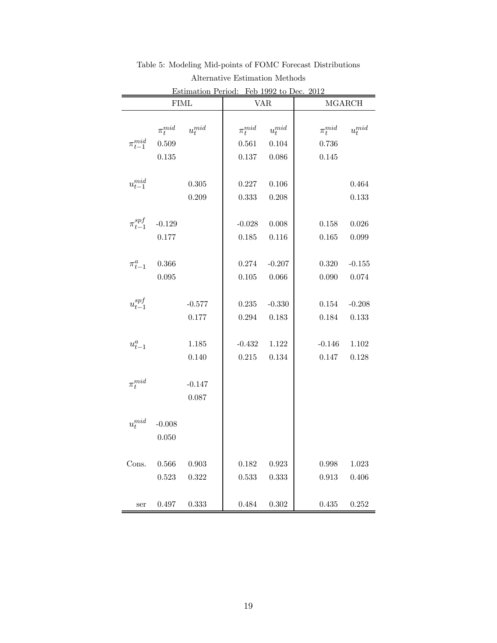|                   |               | <u>estimation Period: - Feb-1992 to Dec.</u><br><b>FIML</b> |               | <b>VAR</b>  | ZU 1<br><b>MGARCH</b> |             |  |
|-------------------|---------------|-------------------------------------------------------------|---------------|-------------|-----------------------|-------------|--|
|                   |               |                                                             |               |             |                       |             |  |
|                   | $\pi_t^{mid}$ | $u_t^{mid}$                                                 | $\pi_t^{mid}$ | $u_t^{mid}$ | $\pi_t^{mid}$         | $u_t^{mid}$ |  |
| $\pi_{t-1}^{mid}$ | 0.509         |                                                             | 0.561         | 0.104       | 0.736                 |             |  |
|                   | 0.135         |                                                             | $0.137\,$     | 0.086       | 0.145                 |             |  |
|                   |               |                                                             |               |             |                       |             |  |
| $u_{t-1}^{mid}$   |               | 0.305                                                       | 0.227         | 0.106       |                       | 0.464       |  |
|                   |               | 0.209                                                       | 0.333         | 0.208       |                       | 0.133       |  |
|                   |               |                                                             |               |             |                       |             |  |
| $\pi^{spf}_{t-1}$ | $-0.129$      |                                                             | $-0.028$      | 0.008       | $0.158\,$             | 0.026       |  |
|                   | 0.177         |                                                             | 0.185         | 0.116       | 0.165                 | 0.099       |  |
|                   |               |                                                             |               |             |                       |             |  |
| $\pi^a_{t-1}$     | $0.366\,$     |                                                             | 0.274         | $-0.207$    | 0.320                 | $-0.155$    |  |
|                   | 0.095         |                                                             | $0.105\,$     | 0.066       | 0.090                 | 0.074       |  |
|                   |               |                                                             |               |             |                       |             |  |
| $u_{t-1}^{spf}$   |               | $-0.577$                                                    | $0.235\,$     | $-0.330$    | 0.154                 | $-0.208$    |  |
|                   |               | 0.177                                                       | 0.294         | 0.183       | 0.184                 | 0.133       |  |
|                   |               |                                                             |               |             |                       |             |  |
| $u_{t-1}^a$       |               | 1.185                                                       | $-0.432$      | 1.122       | $-0.146$              | 1.102       |  |
|                   |               | 0.140                                                       | 0.215         | 0.134       | 0.147                 | 0.128       |  |
| $\pi_t^{mid}$     |               | $-0.147$                                                    |               |             |                       |             |  |
|                   |               | 0.087                                                       |               |             |                       |             |  |
|                   |               |                                                             |               |             |                       |             |  |
| $u_t^{mid}$       | $-0.008$      |                                                             |               |             |                       |             |  |
|                   | 0.050         |                                                             |               |             |                       |             |  |
|                   |               |                                                             |               |             |                       |             |  |
| Cons.             | 0.566         | 0.903                                                       | 0.182         | 0.923       | $0.998\,$             | 1.023       |  |
|                   | 0.523         | 0.322                                                       | 0.533         | 0.333       | 0.913                 | 0.406       |  |
|                   |               |                                                             |               |             |                       |             |  |
| ser               | $0.497\,$     | 0.333                                                       | 0.484         | 0.302       | 0.435                 | 0.252       |  |

Table 5: Modeling Mid-points of FOMC Forecast Distributions Alternative Estimation Methods Estimation Period: Feb 1992 to Dec. 2012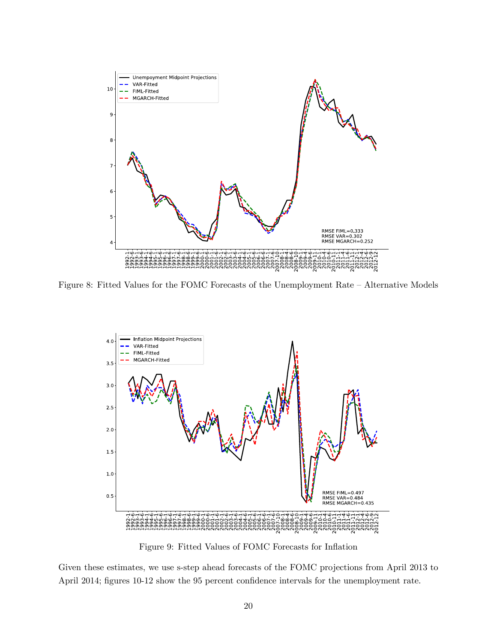

Figure 8: Fitted Values for the FOMC Forecasts of the Unemployment Rate — Alternative Models



Figure 9: Fitted Values of FOMC Forecasts for Inflation

Given these estimates, we use s-step ahead forecasts of the FOMC projections from April 2013 to April 2014; figures 10-12 show the 95 percent confidence intervals for the unemployment rate.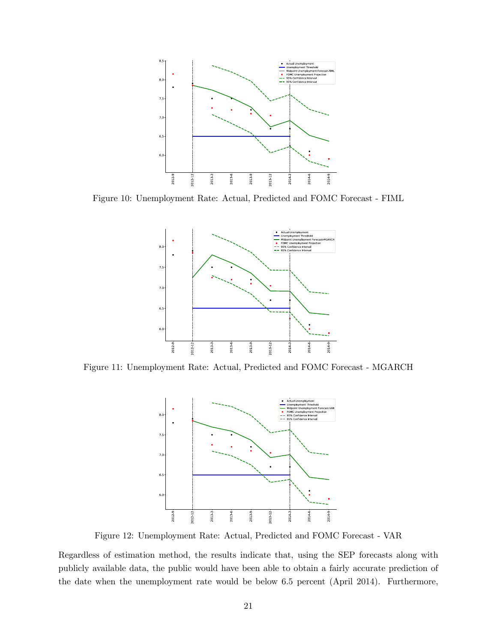

Figure 10: Unemployment Rate: Actual, Predicted and FOMC Forecast - FIML



Figure 11: Unemployment Rate: Actual, Predicted and FOMC Forecast - MGARCH



Figure 12: Unemployment Rate: Actual, Predicted and FOMC Forecast - VAR

Regardless of estimation method, the results indicate that, using the SEP forecasts along with publicly available data, the public would have been able to obtain a fairly accurate prediction of the date when the unemployment rate would be below 6.5 percent (April 2014). Furthermore,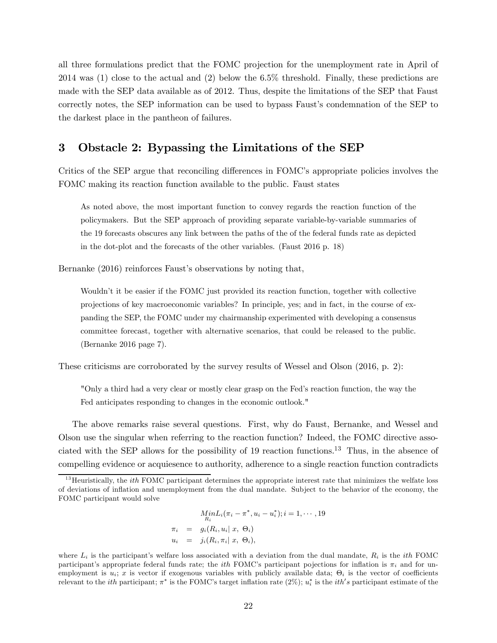all three formulations predict that the FOMC projection for the unemployment rate in April of 2014 was (1) close to the actual and (2) below the 6.5% threshold. Finally, these predictions are made with the SEP data available as of 2012. Thus, despite the limitations of the SEP that Faust correctly notes, the SEP information can be used to bypass Faust's condemnation of the SEP to the darkest place in the pantheon of failures.

# 3 Obstacle 2: Bypassing the Limitations of the SEP

Critics of the SEP argue that reconciling differences in FOMC's appropriate policies involves the FOMC making its reaction function available to the public. Faust states

As noted above, the most important function to convey regards the reaction function of the policymakers. But the SEP approach of providing separate variable-by-variable summaries of the 19 forecasts obscures any link between the paths of the of the federal funds rate as depicted in the dot-plot and the forecasts of the other variables. (Faust 2016 p. 18)

Bernanke (2016) reinforces Faust's observations by noting that,

Wouldn't it be easier if the FOMC just provided its reaction function, together with collective projections of key macroeconomic variables? In principle, yes; and in fact, in the course of expanding the SEP, the FOMC under my chairmanship experimented with developing a consensus committee forecast, together with alternative scenarios, that could be released to the public. (Bernanke 2016 page 7).

These criticisms are corroborated by the survey results of Wessel and Olson (2016, p. 2):

"Only a third had a very clear or mostly clear grasp on the Fed's reaction function, the way the Fed anticipates responding to changes in the economic outlook."

The above remarks raise several questions. First, why do Faust, Bernanke, and Wessel and Olson use the singular when referring to the reaction function? Indeed, the FOMC directive associated with the SEP allows for the possibility of 19 reaction functions.<sup>13</sup> Thus, in the absence of compelling evidence or acquiesence to authority, adherence to a single reaction function contradicts

$$
Min_{R_i}(\pi_i - \pi^*, u_i - u_i^*); i = 1, \cdots, 19
$$
  
\n
$$
\pi_i = g_i(R_i, u_i | x, \Theta_i)
$$
  
\n
$$
u_i = j_i(R_i, \pi_i | x, \Theta_i),
$$

 $^{13}$ Heuristically, the *ith* FOMC participant determines the appropriate interest rate that minimizes the welfate loss of deviations of inflation and unemployment from the dual mandate. Subject to the behavior of the economy, the FOMC participant would solve

where  $L_i$  is the participant's welfare loss associated with a deviation from the dual mandate,  $R_i$  is the *ith* FOMC participant's appropriate federal funds rate; the *ith* FOMC's participant pojections for inflation is  $\pi_i$  and for unemployment is  $u_i$ ; x is vector if exogenous variables with publicly available data;  $\Theta_i$  is the vector of coefficients relevant to the *ith* participant;  $\pi^*$  is the FOMC's target inflation rate (2%);  $u_i^*$  is the *ith's* participant estimate of the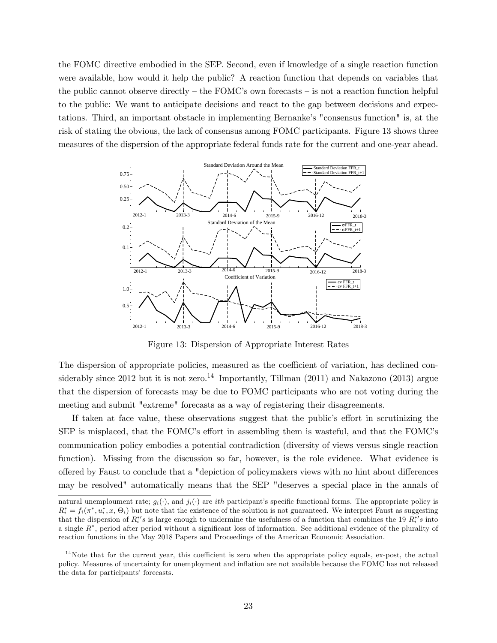the FOMC directive embodied in the SEP. Second, even if knowledge of a single reaction function were available, how would it help the public? A reaction function that depends on variables that the public cannot observe directly  $-$  the FOMC's own forecasts  $-$  is not a reaction function helpful to the public: We want to anticipate decisions and react to the gap between decisions and expectations. Third, an important obstacle in implementing Bernanke's "consensus function" is, at the risk of stating the obvious, the lack of consensus among FOMC participants. Figure 13 shows three measures of the dispersion of the appropriate federal funds rate for the current and one-year ahead.



Figure 13: Dispersion of Appropriate Interest Rates

The dispersion of appropriate policies, measured as the coefficient of variation, has declined considerably since 2012 but it is not zero.<sup>14</sup> Importantly, Tillman  $(2011)$  and Nakazono  $(2013)$  argue that the dispersion of forecasts may be due to FOMC participants who are not voting during the meeting and submit "extreme" forecasts as a way of registering their disagreements.

If taken at face value, these observations suggest that the public's effort in scrutinizing the SEP is misplaced, that the FOMC's effort in assembling them is wasteful, and that the FOMC's communication policy embodies a potential contradiction (diversity of views versus single reaction function). Missing from the discussion so far, however, is the role evidence. What evidence is offered by Faust to conclude that a "depiction of policymakers views with no hint about differences may be resolved" automatically means that the SEP "deserves a special place in the annals of

natural unemploument rate;  $q_i(\cdot)$ , and  $j_i(\cdot)$  are *ith* participant's specific functional forms. The appropriate policy is  $R_i^* = f_i(\pi^*, u_i^*, x, \Theta_i)$  but note that the existence of the solution is not guaranteed. We interpret Faust as suggesting that the dispersion of  $R_i^{*\prime}s$  is large enough to undermine the usefulness of a function that combines the 19  $R_i^{*\prime}s$  into a single  $R^*$ , period after period without a significant loss of information. See additional evidence of the plurality of reaction functions in the May 2018 Papers and Proceedings of the American Economic Association.

 $14$ Note that for the current year, this coefficient is zero when the appropriate policy equals, ex-post, the actual policy. Measures of uncertainty for unemployment and inflation are not available because the FOMC has not released the data for participants' forecasts.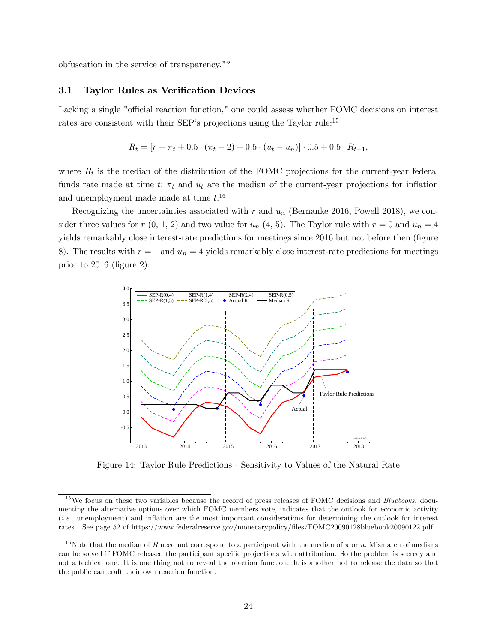obfuscation in the service of transparency."?

#### 3.1 Taylor Rules as Verification Devices

Lacking a single "official reaction function," one could assess whether FOMC decisions on interest rates are consistent with their SEP's projections using the Taylor rule:<sup>15</sup>

$$
R_t = [r + \pi_t + 0.5 \cdot (\pi_t - 2) + 0.5 \cdot (u_t - u_n)] \cdot 0.5 + 0.5 \cdot R_{t-1},
$$

where  $R_t$  is the median of the distribution of the FOMC projections for the current-year federal funds rate made at time t;  $\pi_t$  and  $u_t$  are the median of the current-year projections for inflation and unemployment made made at time  $t.^{16}$ 

Recognizing the uncertainties associated with  $r$  and  $u_n$  (Bernanke 2016, Powell 2018), we consider three values for  $r(0, 1, 2)$  and two value for  $u_n(4, 5)$ . The Taylor rule with  $r = 0$  and  $u_n = 4$ yields remarkably close interest-rate predictions for meetings since 2016 but not before then (figure 8). The results with  $r = 1$  and  $u_n = 4$  yields remarkably close interest-rate predictions for meetings prior to 2016 (figure 2):



Figure 14: Taylor Rule Predictions - Sensitivity to Values of the Natural Rate

 $15$  We focus on these two variables because the record of press releases of FOMC decisions and *Bluebooks*, documenting the alternative options over which FOMC members vote, indicates that the outlook for economic activity (i.e. unemployment) and inflation are the most important considerations for determining the outlook for interest rates. See page 52 of https://www.federalreserve.gov/monetarypolicy/files/FOMC20090128bluebook20090122.pdf

<sup>&</sup>lt;sup>16</sup>Note that the median of R need not correspond to a participant with the median of  $\pi$  or u. Mismatch of medians can be solved if FOMC released the participant specific projections with attribution. So the problem is secrecy and not a techical one. It is one thing not to reveal the reaction function. It is another not to release the data so that the public can craft their own reaction function.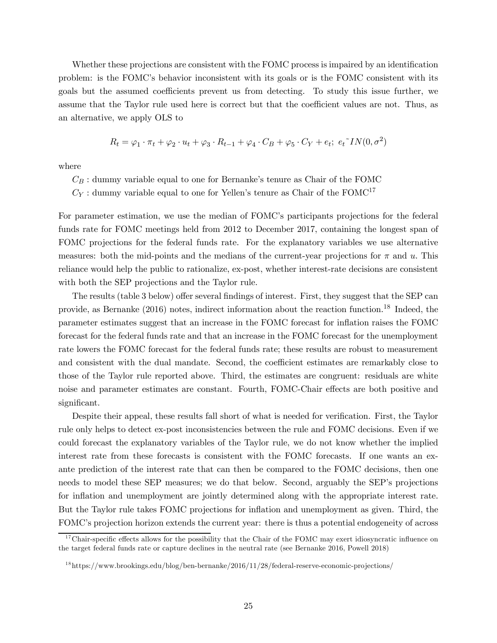Whether these projections are consistent with the FOMC process is impaired by an identification problem: is the FOMC's behavior inconsistent with its goals or is the FOMC consistent with its goals but the assumed coefficients prevent us from detecting. To study this issue further, we assume that the Taylor rule used here is correct but that the coefficient values are not. Thus, as an alternative, we apply OLS to

$$
R_t = \varphi_1 \cdot \pi_t + \varphi_2 \cdot u_t + \varphi_3 \cdot R_{t-1} + \varphi_4 \cdot C_B + \varphi_5 \cdot C_Y + e_t; \ e_t \sim IN(0, \sigma^2)
$$

where

- $C_B$ : dummy variable equal to one for Bernanke's tenure as Chair of the FOMC
- $C_Y$ : dummy variable equal to one for Yellen's tenure as Chair of the FOMC<sup>17</sup>

For parameter estimation, we use the median of FOMC's participants projections for the federal funds rate for FOMC meetings held from 2012 to December 2017, containing the longest span of FOMC projections for the federal funds rate. For the explanatory variables we use alternative measures: both the mid-points and the medians of the current-year projections for  $\pi$  and  $u$ . This reliance would help the public to rationalize, ex-post, whether interest-rate decisions are consistent with both the SEP projections and the Taylor rule.

The results (table 3 below) offer several findings of interest. First, they suggest that the SEP can provide, as Bernanke (2016) notes, indirect information about the reaction function.<sup>18</sup> Indeed, the parameter estimates suggest that an increase in the FOMC forecast for inflation raises the FOMC forecast for the federal funds rate and that an increase in the FOMC forecast for the unemployment rate lowers the FOMC forecast for the federal funds rate; these results are robust to measurement and consistent with the dual mandate. Second, the coefficient estimates are remarkably close to those of the Taylor rule reported above. Third, the estimates are congruent: residuals are white noise and parameter estimates are constant. Fourth, FOMC-Chair effects are both positive and significant.

Despite their appeal, these results fall short of what is needed for verification. First, the Taylor rule only helps to detect ex-post inconsistencies between the rule and FOMC decisions. Even if we could forecast the explanatory variables of the Taylor rule, we do not know whether the implied interest rate from these forecasts is consistent with the FOMC forecasts. If one wants an exante prediction of the interest rate that can then be compared to the FOMC decisions, then one needs to model these SEP measures; we do that below. Second, arguably the SEP's projections for inflation and unemployment are jointly determined along with the appropriate interest rate. But the Taylor rule takes FOMC projections for inflation and unemployment as given. Third, the FOMC's projection horizon extends the current year: there is thus a potential endogeneity of across

 $17$ Chair-specific effects allows for the possibility that the Chair of the FOMC may exert idiosyncratic influence on the target federal funds rate or capture declines in the neutral rate (see Bernanke 2016, Powell 2018)

 $^{18}$ https://www.brookings.edu/blog/ben-bernanke/2016/11/28/federal-reserve-economic-projections/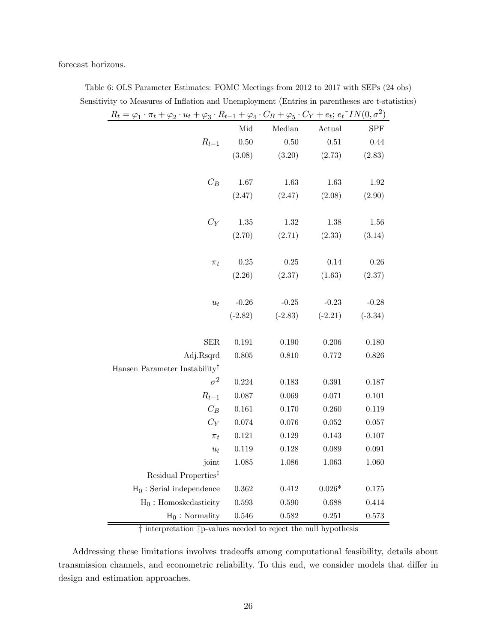forecast horizons.

| $R_t = \varphi_1 \cdot \pi_t + \varphi_2 \cdot u_t + \varphi_3 \cdot R_{t-1} + \varphi_4 \cdot C_B + \varphi_5 \cdot C_Y + e_t; e_t \sim IN(0, \sigma^2)$ |           |           |           |            |
|-----------------------------------------------------------------------------------------------------------------------------------------------------------|-----------|-----------|-----------|------------|
|                                                                                                                                                           | Mid       | Median    | Actual    | <b>SPF</b> |
| $R_{t-1}$                                                                                                                                                 | $0.50\,$  | $0.50\,$  | $0.51\,$  | 0.44       |
|                                                                                                                                                           | (3.08)    | (3.20)    | (2.73)    | (2.83)     |
|                                                                                                                                                           |           |           |           |            |
| $C_B$                                                                                                                                                     | 1.67      | 1.63      | 1.63      | 1.92       |
|                                                                                                                                                           | (2.47)    | (2.47)    | (2.08)    | (2.90)     |
|                                                                                                                                                           |           |           |           |            |
| $C_Y$                                                                                                                                                     | $1.35\,$  | 1.32      | 1.38      | 1.56       |
|                                                                                                                                                           | (2.70)    | (2.71)    | (2.33)    | (3.14)     |
|                                                                                                                                                           |           |           |           |            |
| $\pi_t$                                                                                                                                                   | $0.25\,$  | 0.25      | 0.14      | 0.26       |
|                                                                                                                                                           | (2.26)    | (2.37)    | (1.63)    | (2.37)     |
|                                                                                                                                                           |           |           |           |            |
| $u_t$                                                                                                                                                     | $-0.26$   | $-0.25$   | $-0.23$   | $-0.28$    |
|                                                                                                                                                           | $(-2.82)$ | $(-2.83)$ | $(-2.21)$ | $(-3.34)$  |
|                                                                                                                                                           |           |           |           |            |
| <b>SER</b>                                                                                                                                                | 0.191     | 0.190     | $0.206\,$ | 0.180      |
| Adj.Rsqrd                                                                                                                                                 | 0.805     | 0.810     | 0.772     | 0.826      |
| Hansen Parameter Instability <sup>†</sup>                                                                                                                 |           |           |           |            |
| $\sigma^2$                                                                                                                                                | 0.224     | 0.183     | 0.391     | 0.187      |
| $R_{t-1}$                                                                                                                                                 | 0.087     | 0.069     | 0.071     | 0.101      |
| $C_B$                                                                                                                                                     | 0.161     | 0.170     | 0.260     | 0.119      |
| $C_Y$                                                                                                                                                     | 0.074     | 0.076     | 0.052     | 0.057      |
| $\pi_t$                                                                                                                                                   | 0.121     | 0.129     | 0.143     | 0.107      |
| $u_t$                                                                                                                                                     | 0.119     | 0.128     | 0.089     | 0.091      |
| joint                                                                                                                                                     | 1.085     | 1.086     | 1.063     | 1.060      |
| Residual Properties <sup>‡</sup>                                                                                                                          |           |           |           |            |
| $H_0$ : Serial independence                                                                                                                               | 0.362     | 0.412     | $0.026*$  | 0.175      |
| $H_0$ : Homoskedasticity                                                                                                                                  | 0.593     | 0.590     | 0.688     | 0.414      |
| $H_0$ : Normality                                                                                                                                         | 0.546     | 0.582     | 0.251     | 0.573      |

Table 6: OLS Parameter Estimates: FOMC Meetings from 2012 to 2017 with SEPs (24 obs) Sensitivity to Measures of Inflation and Unemployment (Entries in parentheses are t-statistics)

† interpretation ‡p-values needed to reject the null hypothesis

Addressing these limitations involves tradeoffs among computational feasibility, details about transmission channels, and econometric reliability. To this end, we consider models that differ in design and estimation approaches.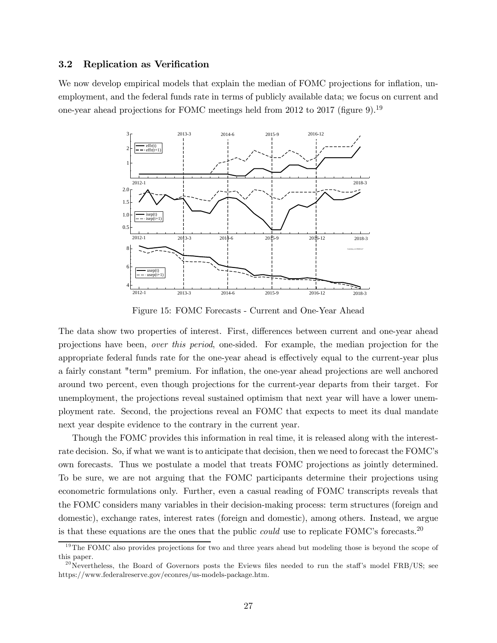#### 3.2 Replication as Verification

We now develop empirical models that explain the median of FOMC projections for inflation, unemployment, and the federal funds rate in terms of publicly available data; we focus on current and one-year ahead projections for FOMC meetings held from 2012 to 2017 (figure 9).<sup>19</sup>



Figure 15: FOMC Forecasts - Current and One-Year Ahead

The data show two properties of interest. First, differences between current and one-year ahead projections have been, over this period, one-sided. For example, the median projection for the appropriate federal funds rate for the one-year ahead is effectively equal to the current-year plus a fairly constant "term" premium. For inflation, the one-year ahead projections are well anchored around two percent, even though projections for the current-year departs from their target. For unemployment, the projections reveal sustained optimism that next year will have a lower unemployment rate. Second, the projections reveal an FOMC that expects to meet its dual mandate next year despite evidence to the contrary in the current year.

Though the FOMC provides this information in real time, it is released along with the interestrate decision. So, if what we want is to anticipate that decision, then we need to forecast the FOMC's own forecasts. Thus we postulate a model that treats FOMC projections as jointly determined. To be sure, we are not arguing that the FOMC participants determine their projections using econometric formulations only. Further, even a casual reading of FOMC transcripts reveals that the FOMC considers many variables in their decision-making process: term structures (foreign and domestic), exchange rates, interest rates (foreign and domestic), among others. Instead, we argue is that these equations are the ones that the public *could* use to replicate FOMC's forecasts.<sup>20</sup>

<sup>&</sup>lt;sup>19</sup>The FOMC also provides projections for two and three years ahead but modeling those is beyond the scope of this paper.

 $^{20}$ Nevertheless, the Board of Governors posts the Eviews files needed to run the staff's model FRB/US; see https://www.federalreserve.gov/econres/us-models-package.htm.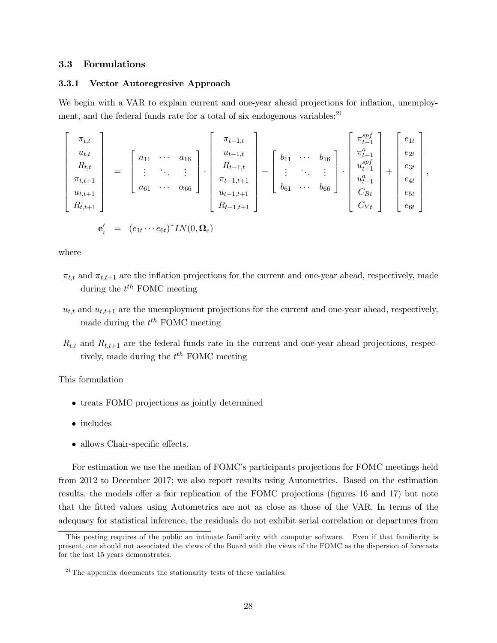## 3.3 Formulations

#### 3.3.1 Vector Autoregresive Approach

We begin with a VAR to explain current and one-year ahead projections for inflation, unemployment, and the federal funds rate for a total of six endogenous variables: $^{21}$ 

$$
\begin{bmatrix}\n\pi_{t,t} \\
u_{t,t} \\
R_{t,t} \\
\pi_{t,t+1} \\
u_{t,t+1} \\
R_{t,t+1}\n\end{bmatrix} = \begin{bmatrix}\na_{11} & \cdots & a_{16} \\
\vdots & \ddots & \vdots \\
a_{61} & \cdots & \alpha_{66}\n\end{bmatrix} \cdot \begin{bmatrix}\n\pi_{t-1,t} \\
u_{t-1,t} \\
R_{t-1,t+1} \\
u_{t-1,t+1} \\
R_{t-1,t+1}\n\end{bmatrix} + \begin{bmatrix}\nb_{11} & \cdots & b_{16} \\
\vdots & \ddots & \vdots \\
b_{61} & \cdots & b_{66}\n\end{bmatrix} \cdot \begin{bmatrix}\n\pi_{t-1}^{spf} \\
u_{t-1}^{spf} \\
u_{t-1}^{ap} \\
C_{Bt} \\
C_{Yt}\n\end{bmatrix} + \begin{bmatrix}\ne_{1t} \\
e_{2t} \\
e_{3t} \\
e_{4t} \\
e_{5t} \\
e_{6t}\n\end{bmatrix},
$$

$$
\mathbf{e}'_t = (e_{1t} \cdots e_{6t})^T IN(0, \Omega_e)
$$

where

- $\pi_{t,t}$  and  $\pi_{t,t+1}$  are the inflation projections for the current and one-year ahead, respectively, made during the  $t^{th}$  FOMC meeting
- $u_{t,t}$  and  $u_{t,t+1}$  are the unemployment projections for the current and one-year ahead, respectively, made during the  $t^{th}$  FOMC meeting
- $R_{t,t}$  and  $R_{t,t+1}$  are the federal funds rate in the current and one-year ahead projections, respectively, made during the  $t^{th}$  FOMC meeting

This formulation

- treats FOMC projections as jointly determined
- includes
- allows Chair-specific effects.

For estimation we use the median of FOMC's participants projections for FOMC meetings held from 2012 to December 2017; we also report results using Autometrics. Based on the estimation results, the models offer a fair replication of the FOMC projections (figures 16 and 17) but note that the fitted values using Autometrics are not as close as those of the VAR. In terms of the adequacy for statistical inference, the residuals do not exhibit serial correlation or departures from

This posting requires of the public an intimate familiarity with computer software. Even if that familiarity is present, one should not associated the views of the Board with the views of the FOMC as the dispersion of forecasts for the last 15 years demonstrates.

 $2^{21}$ The appendix documents the stationarity tests of these variables.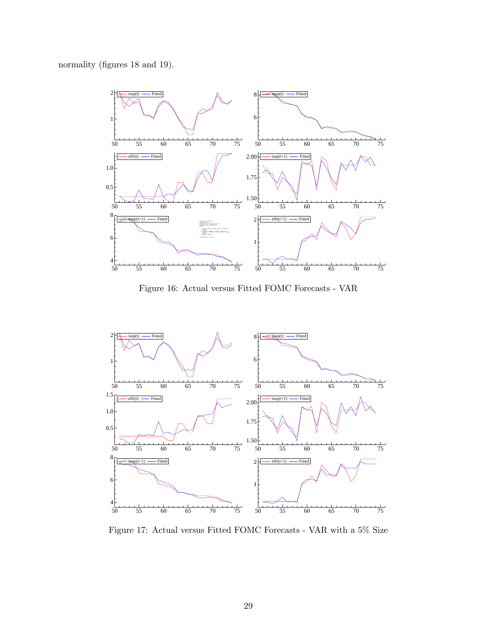normality (figures 18 and 19).



Figure 16: Actual versus Fitted FOMC Forecasts - VAR



Figure 17: Actual versus Fitted FOMC Forecasts - VAR with a 5% Size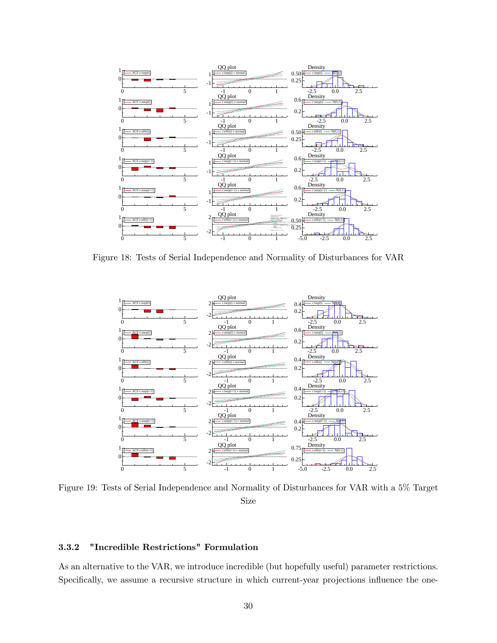

Figure 18: Tests of Serial Independence and Normality of Disturbances for VAR



Figure 19: Tests of Serial Independence and Normality of Disturbances for VAR with a 5% Target Size

## 3.3.2 "Incredible Restrictions" Formulation

As an alternative to the VAR, we introduce incredible (but hopefully useful) parameter restrictions. Specifically, we assume a recursive structure in which current-year projections influence the one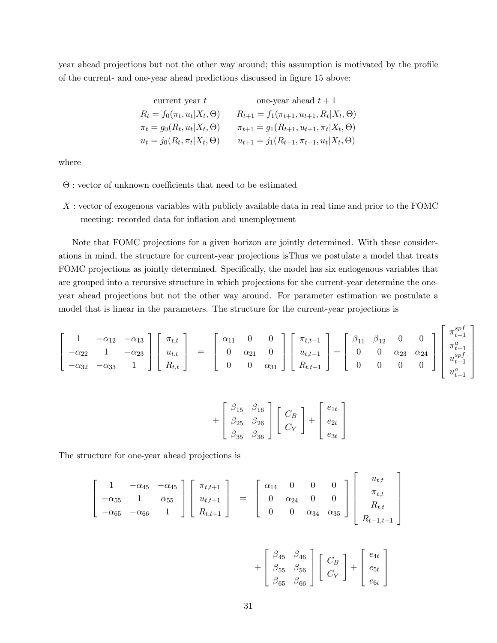year ahead projections but not the other way around; this assumption is motivated by the profile of the current- and one-year ahead predictions discussed in figure 15 above:

| current year $t$                      | one-year ahead $t+1$                                     |
|---------------------------------------|----------------------------------------------------------|
| $R_t = f_0(\pi_t, u_t   X_t, \Theta)$ | $R_{t+1} = f_1(\pi_{t+1}, u_{t+1}, R_t   X_t, \Theta)$   |
| $\pi_t = g_0(R_t, u_t   X_t, \Theta)$ | $\pi_{t+1} = g_1(R_{t+1}, u_{t+1}, \pi_t   X_t, \Theta)$ |
| $u_t = j_0(R_t, \pi_t   X_t, \Theta)$ | $u_{t+1} = j_1(R_{t+1}, \pi_{t+1}, u_t   X_t, \Theta)$   |

where

- Θ : vector of unknown coefficients that need to be estimated
- : vector of exogenous variables with publicly available data in real time and prior to the FOMC meeting: recorded data for inflation and unemployment

Note that FOMC projections for a given horizon are jointly determined. With these considerations in mind, the structure for current-year projections isThus we postulate a model that treats FOMC projections as jointly determined. Specifically, the model has six endogenous variables that are grouped into a recursive structure in which projections for the current-year determine the oneyear ahead projections but not the other way around. For parameter estimation we postulate a model that is linear in the parameters. The structure for the current-year projections is

$$
\begin{bmatrix} 1 & -\alpha_{12} & -\alpha_{13} \\ -\alpha_{22} & 1 & -\alpha_{23} \\ -\alpha_{32} & -\alpha_{33} & 1 \end{bmatrix} \begin{bmatrix} \pi_{t,t} \\ u_{t,t} \\ R_{t,t} \end{bmatrix} = \begin{bmatrix} \alpha_{11} & 0 & 0 \\ 0 & \alpha_{21} & 0 \\ 0 & 0 & \alpha_{31} \end{bmatrix} \begin{bmatrix} \pi_{t,t-1} \\ u_{t,t-1} \\ R_{t,t-1} \end{bmatrix} + \begin{bmatrix} \beta_{11} & \beta_{12} & 0 & 0 \\ 0 & 0 & \alpha_{23} & \alpha_{24} \\ 0 & 0 & 0 & 0 \end{bmatrix} \begin{bmatrix} \pi_{t-1}^{spf} \\ \pi_{t-1}^{ap} \\ u_{t-1}^{spf} \\ u_{t-1}^{a} \end{bmatrix}
$$

$$
+\left[\begin{array}{cc}\n\beta_{15} & \beta_{16} \\
\beta_{25} & \beta_{26} \\
\beta_{35} & \beta_{36}\n\end{array}\right]\n\left[\begin{array}{c}C_B\\C_Y\end{array}\right] + \left[\begin{array}{c}e_{1t} \\ e_{2t} \\ e_{3t}\end{array}\right]
$$

The structure for one-year ahead projections is

$$
\begin{bmatrix} 1 & -\alpha_{45} & -\alpha_{45} \\ -\alpha_{55} & 1 & \alpha_{55} \\ -\alpha_{65} & -\alpha_{66} & 1 \end{bmatrix} \begin{bmatrix} \pi_{t,t+1} \\ u_{t,t+1} \\ R_{t,t+1} \end{bmatrix} = \begin{bmatrix} \alpha_{14} & 0 & 0 & 0 \\ 0 & \alpha_{24} & 0 & 0 \\ 0 & 0 & \alpha_{34} & \alpha_{35} \end{bmatrix} \begin{bmatrix} u_{t,t} \\ \pi_{t,t} \\ R_{t,t} \\ R_{t-1,t+1} \end{bmatrix}
$$

$$
+\left[\begin{array}{cc}\n\beta_{45} & \beta_{46} \\
\beta_{55} & \beta_{56} \\
\beta_{65} & \beta_{66}\n\end{array}\right]\left[\begin{array}{c}C_B\\C_Y\end{array}\right]+\left[\begin{array}{c}e_{4t} \\ e_{5t} \\ e_{6t}\end{array}\right]
$$

⎤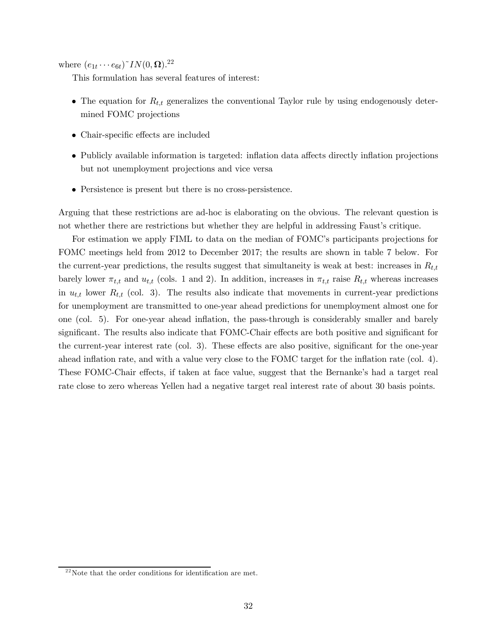where  $(e_{1t}\cdots e_{6t})$ <sup> $\sim$ </sup>*IN*(0,  $\Omega$ ).<sup>22</sup>

This formulation has several features of interest:

- The equation for  $R_{t,t}$  generalizes the conventional Taylor rule by using endogenously determined FOMC projections
- Chair-specific effects are included
- Publicly available information is targeted: inflation data affects directly inflation projections but not unemployment projections and vice versa
- Persistence is present but there is no cross-persistence.

Arguing that these restrictions are ad-hoc is elaborating on the obvious. The relevant question is not whether there are restrictions but whether they are helpful in addressing Faust's critique.

For estimation we apply FIML to data on the median of FOMC's participants projections for FOMC meetings held from 2012 to December 2017; the results are shown in table 7 below. For the current-year predictions, the results suggest that simultaneity is weak at best: increases in  $R_{t,t}$ barely lower  $\pi_{t,t}$  and  $u_{t,t}$  (cols. 1 and 2). In addition, increases in  $\pi_{t,t}$  raise  $R_{t,t}$  whereas increases in  $u_{t,t}$  lower  $R_{t,t}$  (col. 3). The results also indicate that movements in current-year predictions for unemployment are transmitted to one-year ahead predictions for unemployment almost one for one (col. 5). For one-year ahead inflation, the pass-through is considerably smaller and barely significant. The results also indicate that FOMC-Chair effects are both positive and significant for the current-year interest rate (col. 3). These effects are also positive, significant for the one-year ahead inflation rate, and with a value very close to the FOMC target for the inflation rate (col. 4). These FOMC-Chair effects, if taken at face value, suggest that the Bernanke's had a target real rate close to zero whereas Yellen had a negative target real interest rate of about 30 basis points.

 $^{22}$ Note that the order conditions for identification are met.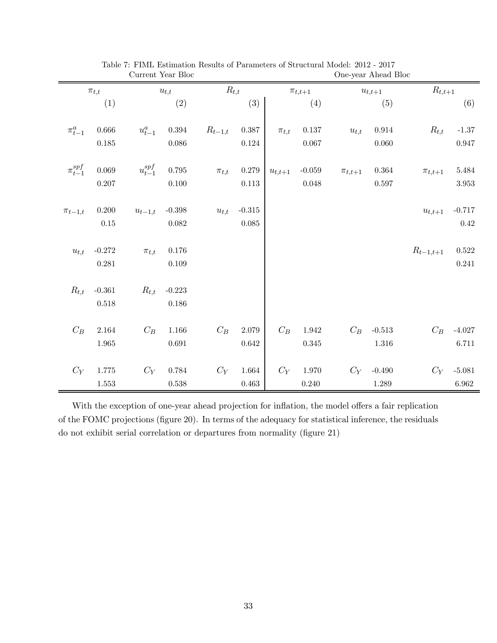|                   |                 |                          | Current Year Bloc |             |                   |             |               | One-year Ahead Bloc |                 |                          |             |
|-------------------|-----------------|--------------------------|-------------------|-------------|-------------------|-------------|---------------|---------------------|-----------------|--------------------------|-------------|
|                   | $\pi_{t,t}$     |                          | $u_{t,t}$         | $R_{t,t}$   |                   |             | $\pi_{t,t+1}$ |                     | $u_{t,t+1}$     | $R_{t,t+1}$              |             |
|                   | (1)             |                          | (2)               |             | (3)               |             | (4)           |                     | (5)             |                          | (6)         |
|                   |                 |                          |                   |             |                   |             |               |                     |                 |                          |             |
| $\pi^a_{t-1}$     | 0.666           | $\boldsymbol{u}^a_{t-1}$ | $0.394\,$         | $R_{t-1,t}$ | $0.387\,$         | $\pi_{t,t}$ | 0.137         | $u_{t,t}$           | $0.914\,$       | $R_{t,t}$                | $-1.37$     |
|                   | $0.185\,$       |                          | $0.086\,$         |             | $0.124\,$         |             | $0.067\,$     |                     | 0.060           |                          | $0.947\,$   |
|                   |                 |                          |                   |             |                   |             |               |                     |                 |                          |             |
| $\pi_{t-1}^{spf}$ | $\,0.069\,$     | $u_{t-1}^{spf}$          | $0.795\,$         | $\pi_{t,t}$ | $0.279\,$         | $u_{t,t+1}$ | $-0.059$      | $\pi_{t,t+1}$       | $\,0.364\,$     | $\pi_{t,t+1}$            | 5.484       |
|                   | 0.207           |                          | 0.100             |             | 0.113             |             | 0.048         |                     | 0.597           |                          | $3.953\,$   |
|                   |                 |                          |                   |             |                   |             |               |                     |                 |                          |             |
| $\pi_{t-1,t}$     | 0.200           | $\boldsymbol{u}_{t-1,t}$ | $-0.398$          | $u_{t,t}$   | $\textbf{-0.315}$ |             |               |                     |                 | $\boldsymbol{u}_{t,t+1}$ | $-0.717$    |
|                   | $0.15\,$        |                          | $0.082\,$         |             | $\,0.085\,$       |             |               |                     |                 |                          | 0.42        |
|                   |                 |                          |                   |             |                   |             |               |                     |                 |                          |             |
| $u_{t,t}$         | $-0.272$        | $\pi_{t,t}$              | $0.176\,$         |             |                   |             |               |                     |                 | $R_{t-1,t+1}$            | $\,0.522\,$ |
|                   | 0.281           |                          | $0.109\,$         |             |                   |             |               |                     |                 |                          | $\rm 0.241$ |
|                   |                 |                          |                   |             |                   |             |               |                     |                 |                          |             |
| $R_{t,t}$         | $\mbox{-}0.361$ | $R_{t,t}$                | $-0.223$          |             |                   |             |               |                     |                 |                          |             |
|                   | 0.518           |                          | 0.186             |             |                   |             |               |                     |                 |                          |             |
|                   |                 |                          |                   |             |                   |             |               |                     |                 |                          |             |
| $C_B$             | 2.164           | $C_B$                    | $1.166\,$         | $C_B$       | $2.079\,$         | $C_B$       | 1.942         | $C_B$               | $\text{-}0.513$ | $C_B$                    | $-4.027$    |
|                   | 1.965           |                          | $\,0.691\,$       |             | $\,0.642\,$       |             | $0.345\,$     |                     | $1.316\,$       |                          | $6.711\,$   |
|                   |                 |                          |                   |             |                   |             |               |                     |                 |                          |             |
| $C_Y$             | $1.775\,$       | $C_Y$                    | $0.784\,$         | $C_Y$       | $1.664\,$         | $C_Y$       | $1.970\,$     | $C_Y$               | $-0.490$        | $C_Y$                    | $-5.081$    |
|                   | 1.553           |                          | $0.538\,$         |             | $\,0.463\,$       |             | $0.240\,$     |                     | 1.289           |                          | 6.962       |

| Table 7: FIML Estimation Results of Parameters of Structural Model: 2012 - 2017 |                   |
|---------------------------------------------------------------------------------|-------------------|
| $C_{\text{unroot}}$ $V_{\text{corr}}$ $R_{\text{loc}}$                          | One your Abood PL |

With the exception of one-year ahead projection for inflation, the model offers a fair replication of the FOMC projections (figure 20). In terms of the adequacy for statistical inference, the residuals do not exhibit serial correlation or departures from normality (figure 21)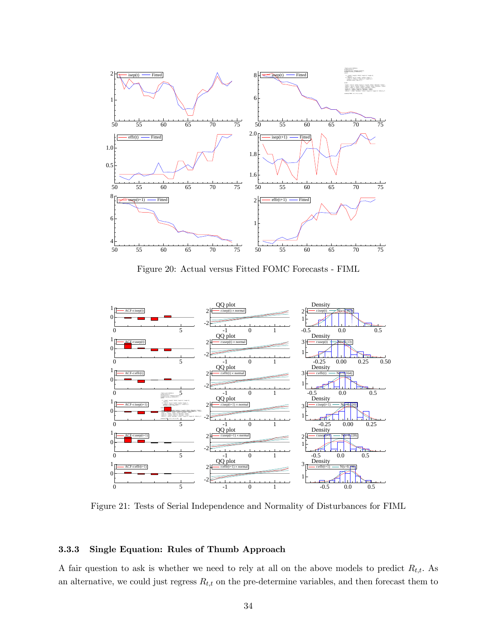

Figure 20: Actual versus Fitted FOMC Forecasts - FIML



Figure 21: Tests of Serial Independence and Normality of Disturbances for FIML

## 3.3.3 Single Equation: Rules of Thumb Approach

A fair question to ask is whether we need to rely at all on the above models to predict  $R_{t,t}$ . As an alternative, we could just regress  $R_{t,t}$  on the pre-determine variables, and then forecast them to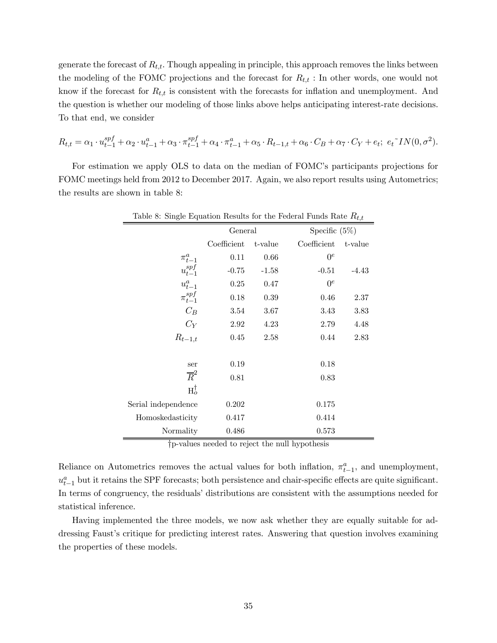generate the forecast of  $R_{t,t}$ . Though appealing in principle, this approach removes the links between the modeling of the FOMC projections and the forecast for  $R_{t,t}$ : In other words, one would not know if the forecast for  $R_{t,t}$  is consistent with the forecasts for inflation and unemployment. And the question is whether our modeling of those links above helps anticipating interest-rate decisions. To that end, we consider

$$
R_{t,t} = \alpha_1 \cdot u_{t-1}^{spf} + \alpha_2 \cdot u_{t-1}^a + \alpha_3 \cdot \pi_{t-1}^{spf} + \alpha_4 \cdot \pi_{t-1}^a + \alpha_5 \cdot R_{t-1,t} + \alpha_6 \cdot C_B + \alpha_7 \cdot C_Y + e_t; \ e_t \tilde{\;} IN(0, \sigma^2).
$$

For estimation we apply OLS to data on the median of FOMC's participants projections for FOMC meetings held from 2012 to December 2017. Again, we also report results using Autometrics; the results are shown in table 8:

| Table 8: Single Equation Results for the Federal Funds Rate $R_{t,t}$ |             |         |             |                  |  |  |  |  |
|-----------------------------------------------------------------------|-------------|---------|-------------|------------------|--|--|--|--|
|                                                                       | General     |         |             | Specific $(5\%)$ |  |  |  |  |
|                                                                       | Coefficient | t-value | Coefficient | t-value          |  |  |  |  |
| $\pi^a_{t-1}$                                                         | 0.11        | 0.66    | $0^e$       |                  |  |  |  |  |
| $u_{t-1}^{spf}$                                                       | $-0.75$     | $-1.58$ | $-0.51$     | $-4.43$          |  |  |  |  |
| $u_{t-1}^a$                                                           | 0.25        | 0.47    | $0^e$       |                  |  |  |  |  |
| $\pi_{t-1}^{sp\bar{f}}$                                               | 0.18        | 0.39    | 0.46        | 2.37             |  |  |  |  |
| $C_B$                                                                 | 3.54        | 3.67    | 3.43        | 3.83             |  |  |  |  |
| $C_Y$                                                                 | 2.92        | 4.23    | 2.79        | 4.48             |  |  |  |  |
| $R_{t-1,t}$                                                           | 0.45        | 2.58    | 0.44        | 2.83             |  |  |  |  |
|                                                                       |             |         |             |                  |  |  |  |  |
| ser                                                                   | 0.19        |         | 0.18        |                  |  |  |  |  |
| $\overline{R}^2$                                                      | 0.81        |         | 0.83        |                  |  |  |  |  |
| $H_o^{\dagger}$                                                       |             |         |             |                  |  |  |  |  |
| Serial independence                                                   | 0.202       |         | 0.175       |                  |  |  |  |  |
| Homoskedasticity                                                      | 0.417       |         | 0.414       |                  |  |  |  |  |
| Normality                                                             | 0.486       |         | 0.573       |                  |  |  |  |  |

†p-values needed to reject the null hypothesis

Reliance on Autometrics removes the actual values for both inflation,  $\pi_{t-1}^a$ , and unemployment,  $u_{t-1}^a$  but it retains the SPF forecasts; both persistence and chair-specific effects are quite significant. In terms of congruency, the residuals' distributions are consistent with the assumptions needed for statistical inference.

Having implemented the three models, we now ask whether they are equally suitable for addressing Faust's critique for predicting interest rates. Answering that question involves examining the properties of these models.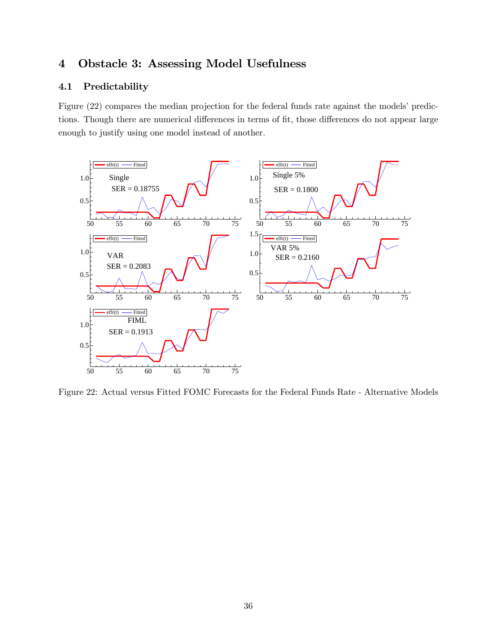# 4 Obstacle 3: Assessing Model Usefulness

## 4.1 Predictability

Figure (22) compares the median projection for the federal funds rate against the models' predictions. Though there are numerical differences in terms of fit, those differences do not appear large enough to justify using one model instead of another.



Figure 22: Actual versus Fitted FOMC Forecasts for the Federal Funds Rate - Alternative Models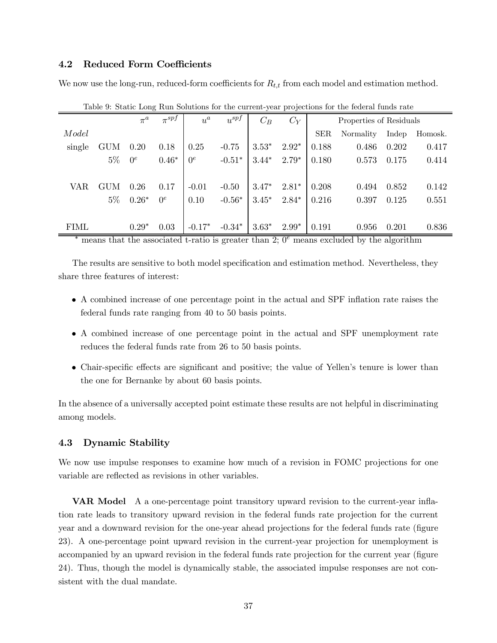#### 4.2 Reduced Form Coefficients

We now use the long-run, reduced-form coefficients for  $R_{t,t}$  from each model and estimation method.

|             |            | $\pi^a$ | $\circ$<br>$\pi^{spf}$ | $u^a$    | $u^{spf}$ | $C_B$   | $C_Y$   |            | Properties of Residuals |       |         |
|-------------|------------|---------|------------------------|----------|-----------|---------|---------|------------|-------------------------|-------|---------|
| Model       |            |         |                        |          |           |         |         | <b>SER</b> | Normality               | Indep | Homosk. |
| single      | <b>GUM</b> | 0.20    | 0.18                   | 0.25     | $-0.75$   | $3.53*$ | $2.92*$ | 0.188      | 0.486                   | 0.202 | 0.417   |
|             | $5\%$      | $0^e$   | $0.46*$                | $0^e$    | $-0.51*$  | $3.44*$ | $2.79*$ | 0.180      | 0.573                   | 0.175 | 0.414   |
|             |            |         |                        |          |           |         |         |            |                         |       |         |
| <b>VAR</b>  | <b>GUM</b> | 0.26    | 0.17                   | $-0.01$  | $-0.50$   | $3.47*$ | $2.81*$ | 0.208      | 0.494                   | 0.852 | 0.142   |
|             | $5\%$      | $0.26*$ | $0^e$                  | 0.10     | $-0.56*$  | $3.45*$ | $2.84*$ | 0.216      | 0.397                   | 0.125 | 0.551   |
|             |            |         |                        |          |           |         |         |            |                         |       |         |
| <b>FIML</b> |            | $0.29*$ | 0.03                   | $-0.17*$ | $-0.34*$  | $3.63*$ | $2.99*$ | 0.191      | 0.956                   | 0.201 | 0.836   |

| Table 9: Static Long Run Solutions for the current-year projections for the federal funds rate |  |  |
|------------------------------------------------------------------------------------------------|--|--|
|------------------------------------------------------------------------------------------------|--|--|

means that the associated t-ratio is greater than 2;  $0<sup>e</sup>$  means excluded by the algorithm

The results are sensitive to both model specification and estimation method. Nevertheless, they share three features of interest:

- A combined increase of one percentage point in the actual and SPF inflation rate raises the federal funds rate ranging from 40 to 50 basis points.
- A combined increase of one percentage point in the actual and SPF unemployment rate reduces the federal funds rate from 26 to 50 basis points.
- Chair-specific effects are significant and positive; the value of Yellen's tenure is lower than the one for Bernanke by about 60 basis points.

In the absence of a universally accepted point estimate these results are not helpful in discriminating among models.

#### 4.3 Dynamic Stability

We now use impulse responses to examine how much of a revision in FOMC projections for one variable are reflected as revisions in other variables.

VAR Model A a one-percentage point transitory upward revision to the current-year inflation rate leads to transitory upward revision in the federal funds rate projection for the current year and a downward revision for the one-year ahead projections for the federal funds rate (figure 23). A one-percentage point upward revision in the current-year projection for unemployment is accompanied by an upward revision in the federal funds rate projection for the current year (figure 24). Thus, though the model is dynamically stable, the associated impulse responses are not consistent with the dual mandate.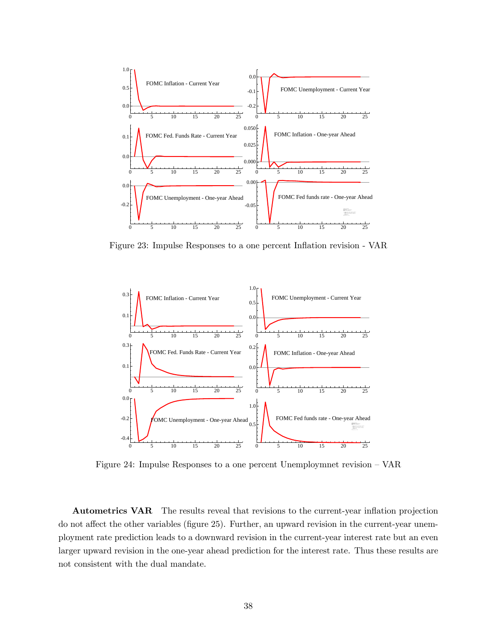

Figure 23: Impulse Responses to a one percent Inflation revision - VAR



Figure 24: Impulse Responses to a one percent Unemploymnet revision — VAR

Autometrics VAR The results reveal that revisions to the current-year inflation projection do not affect the other variables (figure 25). Further, an upward revision in the current-year unemployment rate prediction leads to a downward revision in the current-year interest rate but an even larger upward revision in the one-year ahead prediction for the interest rate. Thus these results are not consistent with the dual mandate.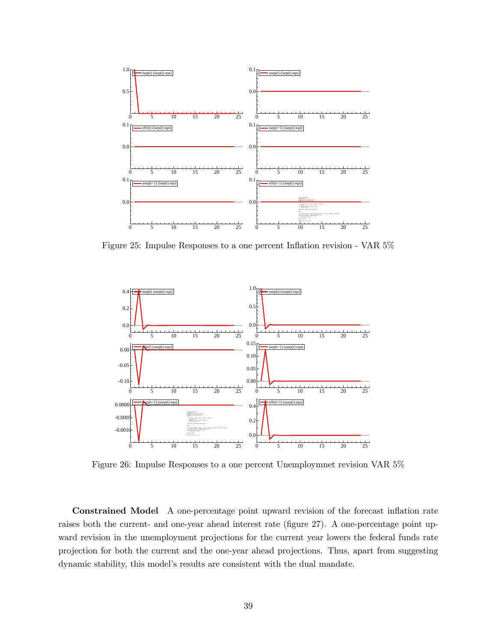

Figure 25: Impulse Responses to a one percent Inflation revision - VAR 5%



Figure 26: Impulse Responses to a one percent Unemploymnet revision VAR 5%

Constrained Model A one-percentage point upward revision of the forecast inflation rate raises both the current- and one-year ahead interest rate (figure 27). A one-percentage point upward revision in the unemployment projections for the current year lowers the federal funds rate projection for both the current and the one-year ahead projections. Thus, apart from suggesting dynamic stability, this model's results are consistent with the dual mandate.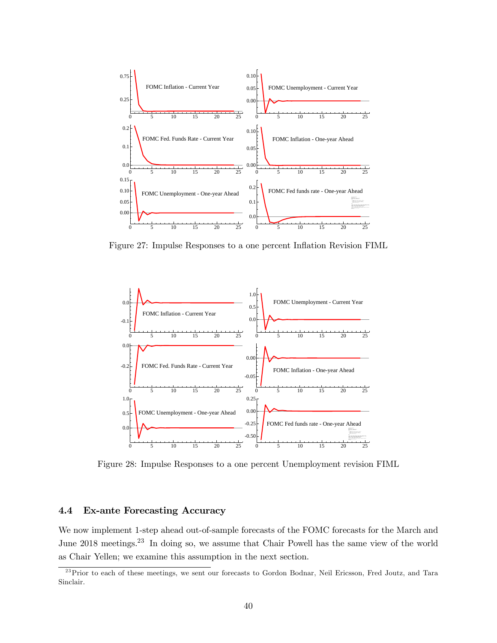

Figure 27: Impulse Responses to a one percent Inflation Revision FIML



Figure 28: Impulse Responses to a one percent Unemployment revision FIML

## 4.4 Ex-ante Forecasting Accuracy

We now implement 1-step ahead out-of-sample forecasts of the FOMC forecasts for the March and June 2018 meetings.<sup>23</sup> In doing so, we assume that Chair Powell has the same view of the world as Chair Yellen; we examine this assumption in the next section.

<sup>&</sup>lt;sup>23</sup>Prior to each of these meetings, we sent our forecasts to Gordon Bodnar, Neil Ericsson, Fred Joutz, and Tara Sinclair.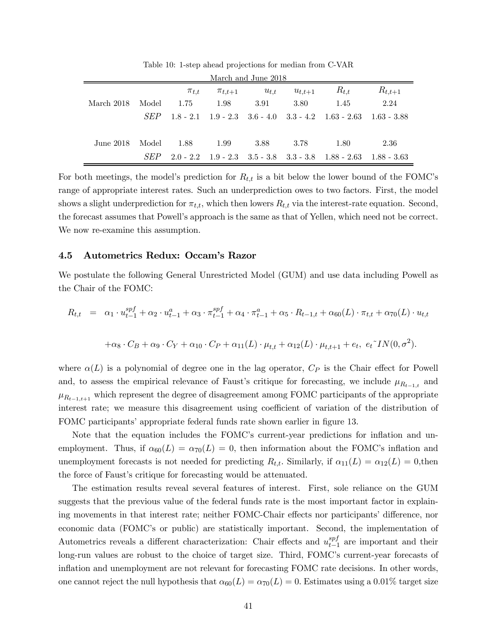| March and June 2018 |            |             |               |           |             |                                                                             |             |  |  |
|---------------------|------------|-------------|---------------|-----------|-------------|-----------------------------------------------------------------------------|-------------|--|--|
|                     |            | $\pi_{t,t}$ | $\pi_{t,t+1}$ | $u_{t,t}$ | $u_{t,t+1}$ | $R_{t,t}$                                                                   | $R_{t,t+1}$ |  |  |
| March 2018          | Model      | 1.75        | 1.98          | -3.91     | 3.80        | 1.45                                                                        | 2.24        |  |  |
|                     | <i>SEP</i> |             |               |           |             | $1.8 - 2.1$ $1.9 - 2.3$ $3.6 - 4.0$ $3.3 - 4.2$ $1.63 - 2.63$ $1.63 - 3.88$ |             |  |  |
| June $2018$         | Model      | - 1.88      | 1.99          | 3.88      | 3.78        | 1.80                                                                        | 2.36        |  |  |
|                     | <i>SEP</i> |             |               |           |             | $2.0 - 2.2$ $1.9 - 2.3$ $3.5 - 3.8$ $3.3 - 3.8$ $1.88 - 2.63$ $1.88 - 3.63$ |             |  |  |

Table 10: 1-step ahead projections for median from C-VAR

For both meetings, the model's prediction for  $R_{t,t}$  is a bit below the lower bound of the FOMC's range of appropriate interest rates. Such an underprediction owes to two factors. First, the model shows a slight underprediction for  $\pi_{t,t}$ , which then lowers  $R_{t,t}$  via the interest-rate equation. Second, the forecast assumes that Powell's approach is the same as that of Yellen, which need not be correct. We now re-examine this assumption.

#### 4.5 Autometrics Redux: Occam's Razor

We postulate the following General Unrestricted Model (GUM) and use data including Powell as the Chair of the FOMC:

$$
R_{t,t} = \alpha_1 \cdot u_{t-1}^{spf} + \alpha_2 \cdot u_{t-1}^a + \alpha_3 \cdot \pi_{t-1}^{spf} + \alpha_4 \cdot \pi_{t-1}^a + \alpha_5 \cdot R_{t-1,t} + \alpha_{60}(L) \cdot \pi_{t,t} + \alpha_{70}(L) \cdot u_{t,t}
$$

$$
+ \alpha_8 \cdot C_B + \alpha_9 \cdot C_Y + \alpha_{10} \cdot C_P + \alpha_{11}(L) \cdot \mu_{t,t} + \alpha_{12}(L) \cdot \mu_{t,t+1} + e_t, \quad e_t \tilde{\;} IN(0, \sigma^2).
$$

where  $\alpha(L)$  is a polynomial of degree one in the lag operator,  $C_P$  is the Chair effect for Powell and, to assess the empirical relevance of Faust's critique for forecasting, we include  $\mu_{R_{t-1,t}}$  and  $\mu_{R_{t-1,t+1}}$  which represent the degree of disagreement among FOMC participants of the appropriate interest rate; we measure this disagreement using coefficient of variation of the distribution of FOMC participants' appropriate federal funds rate shown earlier in figure 13.

Note that the equation includes the FOMC's current-year predictions for inflation and unemployment. Thus, if  $\alpha_{60}(L) = \alpha_{70}(L) = 0$ , then information about the FOMC's inflation and unemployment forecasts is not needed for predicting  $R_{t,t}$ . Similarly, if  $\alpha_{11}(L) = \alpha_{12}(L) = 0$ , then the force of Faust's critique for forecasting would be attenuated.

The estimation results reveal several features of interest. First, sole reliance on the GUM suggests that the previous value of the federal funds rate is the most important factor in explaining movements in that interest rate; neither FOMC-Chair effects nor participants' difference, nor economic data (FOMC's or public) are statistically important. Second, the implementation of Autometrics reveals a different characterization: Chair effects and  $u_{t-1}^{spf}$  are important and their long-run values are robust to the choice of target size. Third, FOMC's current-year forecasts of inflation and unemployment are not relevant for forecasting FOMC rate decisions. In other words, one cannot reject the null hypothesis that  $\alpha_{0}(L) = \alpha_{70}(L) = 0$ . Estimates using a 0.01% target size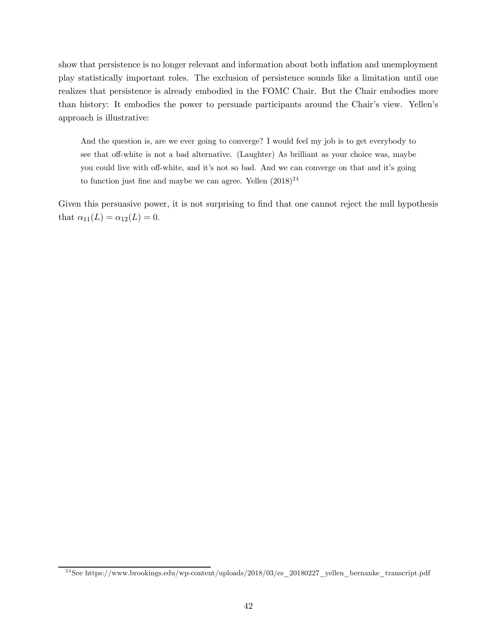show that persistence is no longer relevant and information about both inflation and unemployment play statistically important roles. The exclusion of persistence sounds like a limitation until one realizes that persistence is already embodied in the FOMC Chair. But the Chair embodies more than history: It embodies the power to persuade participants around the Chair's view. Yellen's approach is illustrative:

And the question is, are we ever going to converge? I would feel my job is to get everybody to see that off-white is not a bad alternative. (Laughter) As brilliant as your choice was, maybe you could live with off-white, and it's not so bad. And we can converge on that and it's going to function just fine and maybe we can agree. Yellen  $(2018)^{24}$ 

Given this persuasive power, it is not surprising to find that one cannot reject the null hypothesis that  $\alpha_{11}(L) = \alpha_{12}(L) = 0$ .

<sup>&</sup>lt;sup>24</sup> See https://www.brookings.edu/wp-content/uploads/2018/03/es 20180227 yellen bernanke transcript.pdf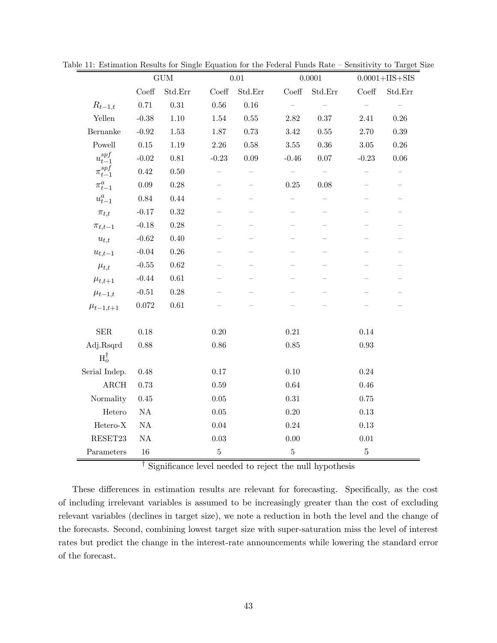|                                | $\mathop{\rm GUM}\nolimits$ |            |                        | $0.01\,$ |                  | $0.0001\,$               |                  | $0.0001 + IIS + SIS$     |  |
|--------------------------------|-----------------------------|------------|------------------------|----------|------------------|--------------------------|------------------|--------------------------|--|
|                                | $\mathrm{Coeff}$            | Std.Err    | $\operatorname{Coeff}$ | Std.Err  | $\mathrm{Coeff}$ | $\operatorname{Std.Err}$ | $\mathrm{Coeff}$ | $\operatorname{Std.Err}$ |  |
| $R_{t-1,t}$                    | $0.71\,$                    | $\rm 0.31$ | $0.56\,$               | 0.16     |                  |                          |                  |                          |  |
| Yellen                         | $-0.38$                     | $1.10\,$   | $1.54\,$               | 0.55     | $2.82\,$         | $0.37\,$                 | $2.41\,$         | $0.26\,$                 |  |
| Bernanke                       | $-0.92$                     | $1.53\,$   | $1.87\,$               | $0.73\,$ | $3.42\,$         | $0.55\,$                 | $2.70\,$         | $0.39\,$                 |  |
| Powell                         | $0.15\,$                    | 1.19       | $2.26\,$               | 0.58     | $3.55\,$         | 0.36                     | $3.05\,$         | $0.26\,$                 |  |
| $u_{t-1}^{\operatorname{spf}}$ | $-0.02$                     | $0.81\,$   | $-0.23$                | $0.09\,$ | $-0.46$          | $0.07\,$                 | $-0.23$          | $0.06\,$                 |  |
| $\pi_{t-1}^{spf}$              | $0.42\,$                    | 0.50       |                        |          |                  |                          |                  |                          |  |
| $\pi^a_{t-}$                   | $0.09\,$                    | $0.28\,$   |                        |          | 0.25             | $0.08\,$                 |                  |                          |  |
| $u_{t-1}^a$                    | $0.84\,$                    | 0.44       |                        |          |                  |                          |                  |                          |  |
| $\pi_{t,t}$                    | $-0.17$                     | $\rm 0.32$ |                        |          |                  |                          |                  |                          |  |
| $\pi_{t,t-1}$                  | $-0.18$                     | $0.28\,$   |                        |          |                  |                          |                  |                          |  |
| $u_{t,t}$                      | $-0.62$                     | 0.40       |                        |          |                  |                          |                  |                          |  |
| $u_{t,t-1}$                    | $-0.04$                     | $0.26\,$   |                        |          |                  |                          |                  |                          |  |
| $\mu_{t,t}$                    | $-0.55$                     | $0.62\,$   |                        |          |                  |                          |                  |                          |  |
| $\mu_{t,t+1}$                  | $-0.44$                     | $0.61\,$   |                        |          |                  |                          |                  |                          |  |
| $\mu_{t-1,t}$                  | $-0.51$                     | $0.28\,$   |                        |          |                  |                          |                  |                          |  |
| $\mu_{t-1,t+1}$                | $0.072\,$                   | $0.61\,$   |                        |          |                  |                          |                  |                          |  |
| ${\rm SER}$                    | $0.18\,$                    |            | $0.20\,$               |          | $0.21\,$         |                          | $0.14\,$         |                          |  |
| Adj.Rsqrd                      | 0.88                        |            | 0.86                   |          | 0.85             |                          | $\rm 0.93$       |                          |  |
| $H_o^{\dagger}$                |                             |            |                        |          |                  |                          |                  |                          |  |
| Serial Indep.                  | $0.48\,$                    |            | $0.17\,$               |          | 0.10             |                          | $0.24\,$         |                          |  |
| ${\rm ARCH}$                   | 0.73                        |            | 0.59                   |          | 0.64             |                          | $0.46\,$         |                          |  |
| Normality                      | 0.45                        |            | $0.05\,$               |          | $0.31\,$         |                          | 0.75             |                          |  |
| Hetero                         | $\mathrm{NA}$               |            | $0.05\,$               |          | $0.20\,$         |                          | $0.13\,$         |                          |  |
| ${\rm Hetero\text{-}X}$        | $\mathrm{NA}$               |            | $0.04\,$               |          | $0.24\,$         |                          | $0.13\,$         |                          |  |
| RESET23                        | $\mathrm{NA}$               |            | $0.03\,$               |          | $0.00\,$         |                          | $0.01\,$         |                          |  |
| Parameters                     | 16                          |            | $\bf 5$                |          | $\mathbf 5$      |                          | $\mathbf 5$      |                          |  |

Table 11: Estimation Results for Single Equation for the Federal Funds Rate — Sensitivity to Target Size

† Significance level needed to reject the null hypothesis

These differences in estimation results are relevant for forecasting. Specifically, as the cost of including irrelevant variables is assumed to be increasingly greater than the cost of excluding relevant variables (declines in target size), we note a reduction in both the level and the change of the forecasts. Second, combining lowest target size with super-saturation miss the level of interest rates but predict the change in the interest-rate announcements while lowering the standard error of the forecast.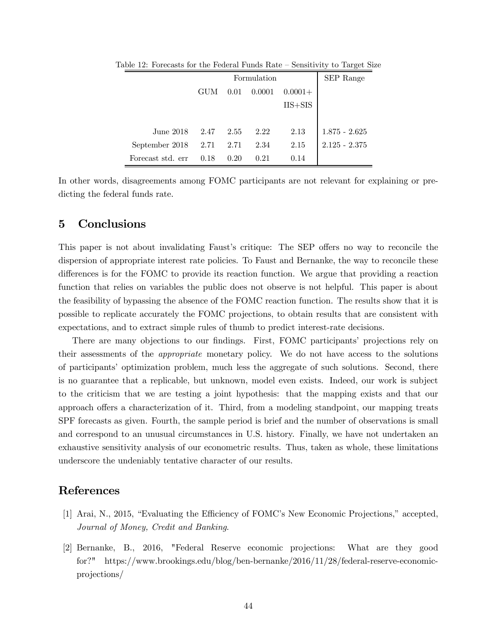|                       |      |      | Formulation |             | SEP Range       |
|-----------------------|------|------|-------------|-------------|-----------------|
|                       | GUM  | 0.01 | 0.0001      | $0.0001 +$  |                 |
|                       |      |      |             | $IIS + SIS$ |                 |
|                       |      |      |             |             |                 |
| June 2018             | 2.47 | 2.55 | 2.22        | 2.13        | $1.875 - 2.625$ |
| September $2018$ 2.71 |      | 2.71 | 2.34        | 2.15        | $2.125 - 2.375$ |
| Forecast std. err     | 0.18 | 0.20 | 0.21        | 0.14        |                 |

Table 12: Forecasts for the Federal Funds Rate — Sensitivity to Target Size

In other words, disagreements among FOMC participants are not relevant for explaining or predicting the federal funds rate.

# 5 Conclusions

This paper is not about invalidating Faust's critique: The SEP offers no way to reconcile the dispersion of appropriate interest rate policies. To Faust and Bernanke, the way to reconcile these differences is for the FOMC to provide its reaction function. We argue that providing a reaction function that relies on variables the public does not observe is not helpful. This paper is about the feasibility of bypassing the absence of the FOMC reaction function. The results show that it is possible to replicate accurately the FOMC projections, to obtain results that are consistent with expectations, and to extract simple rules of thumb to predict interest-rate decisions.

There are many objections to our findings. First, FOMC participants' projections rely on their assessments of the appropriate monetary policy. We do not have access to the solutions of participants' optimization problem, much less the aggregate of such solutions. Second, there is no guarantee that a replicable, but unknown, model even exists. Indeed, our work is subject to the criticism that we are testing a joint hypothesis: that the mapping exists and that our approach offers a characterization of it. Third, from a modeling standpoint, our mapping treats SPF forecasts as given. Fourth, the sample period is brief and the number of observations is small and correspond to an unusual circumstances in U.S. history. Finally, we have not undertaken an exhaustive sensitivity analysis of our econometric results. Thus, taken as whole, these limitations underscore the undeniably tentative character of our results.

# References

- [1] Arai, N., 2015, "Evaluating the Efficiency of FOMC's New Economic Projections," accepted, Journal of Money, Credit and Banking.
- [2] Bernanke, B., 2016, "Federal Reserve economic projections: What are they good for?" https://www.brookings.edu/blog/ben-bernanke/2016/11/28/federal-reserve-economicprojections/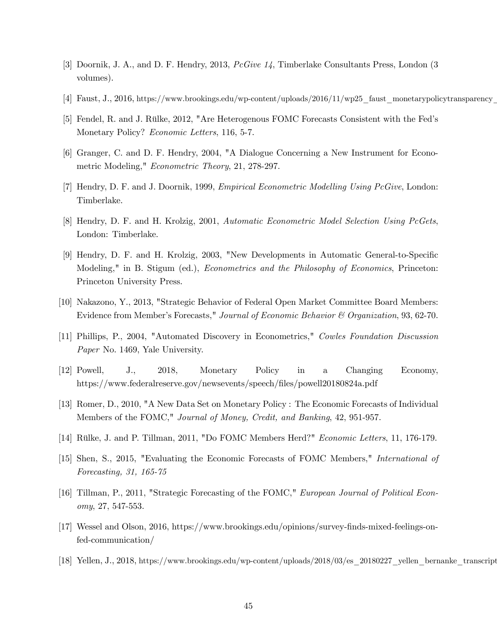- [3] Doornik, J. A., and D. F. Hendry, 2013, PcGive 14, Timberlake Consultants Press, London (3 volumes).
- [4] Faust, J., 2016, https://www.brookings.edu/wp-content/uploads/2016/11/wp25\_faust\_monetarypolicytransparency\_
- [5] Fendel, R. and J. Rülke, 2012, "Are Heterogenous FOMC Forecasts Consistent with the Fed's Monetary Policy? Economic Letters, 116, 5-7.
- [6] Granger, C. and D. F. Hendry, 2004, "A Dialogue Concerning a New Instrument for Econometric Modeling," Econometric Theory, 21, 278-297.
- [7] Hendry, D. F. and J. Doornik, 1999, *Empirical Econometric Modelling Using PcGive*, London: Timberlake.
- [8] Hendry, D. F. and H. Krolzig, 2001, Automatic Econometric Model Selection Using PcGets, London: Timberlake.
- [9] Hendry, D. F. and H. Krolzig, 2003, "New Developments in Automatic General-to-Specific Modeling," in B. Stigum (ed.), *Econometrics and the Philosophy of Economics*, Princeton: Princeton University Press.
- [10] Nakazono, Y., 2013, "Strategic Behavior of Federal Open Market Committee Board Members: Evidence from Member's Forecasts," Journal of Economic Behavior & Organization, 93, 62-70.
- [11] Phillips, P., 2004, "Automated Discovery in Econometrics," Cowles Foundation Discussion Paper No. 1469, Yale University.
- [12] Powell, J., 2018, Monetary Policy in a Changing Economy, https://www.federalreserve.gov/newsevents/speech/files/powell20180824a.pdf
- [13] Romer, D., 2010, "A New Data Set on Monetary Policy : The Economic Forecasts of Individual Members of the FOMC," Journal of Money, Credit, and Banking, 42, 951-957.
- [14] Rülke, J. and P. Tillman, 2011, "Do FOMC Members Herd?" Economic Letters, 11, 176-179.
- [15] Shen, S., 2015, "Evaluating the Economic Forecasts of FOMC Members," International of Forecasting, 31, 165-75
- [16] Tillman, P., 2011, "Strategic Forecasting of the FOMC," European Journal of Political Economy, 27, 547-553.
- [17] Wessel and Olson, 2016, https://www.brookings.edu/opinions/survey-finds-mixed-feelings-onfed-communication/
- [18] Yellen, J., 2018, https://www.brookings.edu/wp-content/uploads/2018/03/es\_20180227\_yellen\_bernanke\_transcript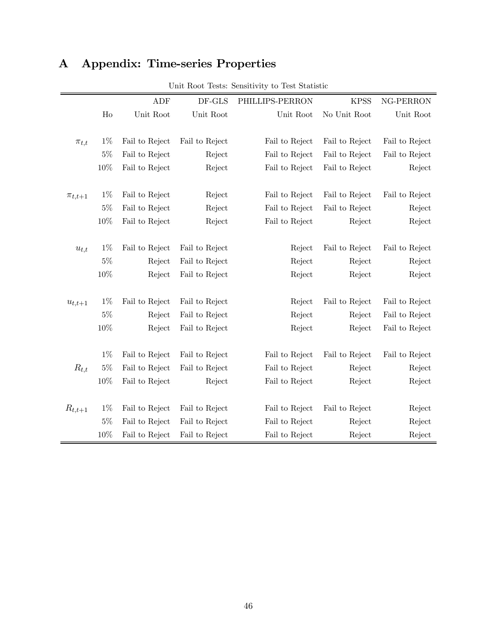| A |  | Appendix: Time-series Properties |  |
|---|--|----------------------------------|--|
|---|--|----------------------------------|--|

|               |                | ADF            | DF-GLS         | PHILLIPS-PERRON | <b>KPSS</b>    | NG-PERRON      |
|---------------|----------------|----------------|----------------|-----------------|----------------|----------------|
|               | H <sub>0</sub> | Unit Root      | Unit Root      | Unit Root       | No Unit Root   | Unit Root      |
|               |                |                |                |                 |                |                |
| $\pi_{t,t}$   | $1\%$          | Fail to Reject | Fail to Reject | Fail to Reject  | Fail to Reject | Fail to Reject |
|               | $5\%$          | Fail to Reject | Reject         | Fail to Reject  | Fail to Reject | Fail to Reject |
|               | 10%            | Fail to Reject | Reject         | Fail to Reject  | Fail to Reject | Reject         |
|               |                |                |                |                 |                |                |
| $\pi_{t,t+1}$ | $1\%$          | Fail to Reject | Reject         | Fail to Reject  | Fail to Reject | Fail to Reject |
|               | $5\%$          | Fail to Reject | Reject         | Fail to Reject  | Fail to Reject | Reject         |
|               | 10%            | Fail to Reject | Reject         | Fail to Reject  | Reject         | Reject         |
|               |                |                |                |                 |                |                |
| $u_{t,t}$     | $1\%$          | Fail to Reject | Fail to Reject | Reject          | Fail to Reject | Fail to Reject |
|               | $5\%$          | Reject         | Fail to Reject | Reject          | Reject         | Reject         |
|               | 10%            | Reject         | Fail to Reject | Reject          | Reject         | Reject         |
|               |                |                |                |                 |                |                |
| $u_{t,t+1}$   | $1\%$          | Fail to Reject | Fail to Reject | Reject          | Fail to Reject | Fail to Reject |
|               | $5\%$          | Reject         | Fail to Reject | Reject          | Reject         | Fail to Reject |
|               | 10%            | Reject         | Fail to Reject | Reject          | Reject         | Fail to Reject |
|               |                |                |                |                 |                |                |
|               | $1\%$          | Fail to Reject | Fail to Reject | Fail to Reject  | Fail to Reject | Fail to Reject |
| $R_{t,t}$     | $5\%$          | Fail to Reject | Fail to Reject | Fail to Reject  | Reject         | Reject         |
|               | 10%            | Fail to Reject | Reject         | Fail to Reject  | Reject         | Reject         |
|               |                |                |                |                 |                |                |
| $R_{t,t+1}$   | $1\%$          | Fail to Reject | Fail to Reject | Fail to Reject  | Fail to Reject | Reject         |
|               | $5\%$          | Fail to Reject | Fail to Reject | Fail to Reject  | Reject         | Reject         |
|               | 10%            | Fail to Reject | Fail to Reject | Fail to Reject  | Reject         | Reject         |

Unit Root Tests: Sensitivity to Test Statistic